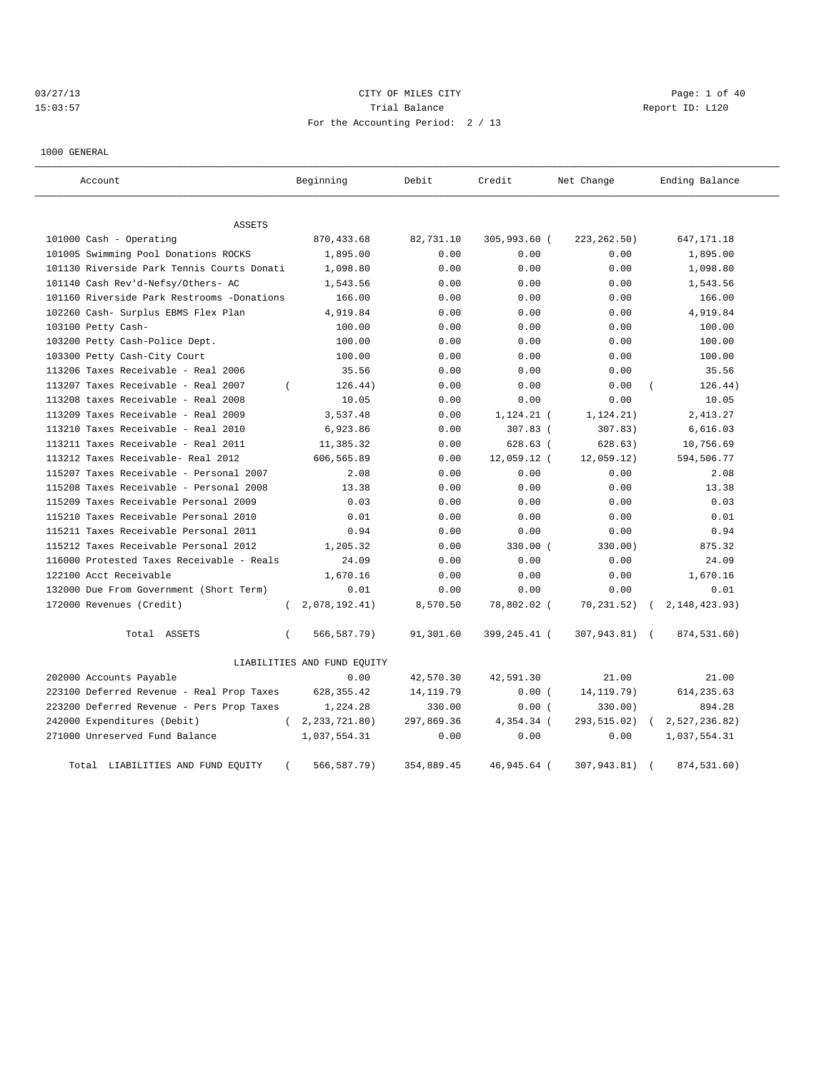# 03/27/13 CITY OF MILES CITY CHANNEL CITY CHANNEL CONTROLLER Page: 1 of 40 15:03:57 Trial Balance Trial Balance Report ID: L120 For the Accounting Period: 2 / 13

1000 GENERAL

| Account                                    | Beginning                   | Debit      | Credit       | Net Change    | Ending Balance   |
|--------------------------------------------|-----------------------------|------------|--------------|---------------|------------------|
| ASSETS                                     |                             |            |              |               |                  |
| 101000 Cash - Operating                    | 870, 433.68                 | 82,731.10  | 305,993.60 ( | 223, 262.50)  | 647, 171. 18     |
| 101005 Swimming Pool Donations ROCKS       | 1,895.00                    | 0.00       | 0.00         | 0.00          | 1,895.00         |
| 101130 Riverside Park Tennis Courts Donati | 1,098.80                    | 0.00       | 0.00         | 0.00          | 1,098.80         |
| 101140 Cash Rev'd-Nefsy/Others- AC         | 1,543.56                    | 0.00       | 0.00         | 0.00          | 1,543.56         |
| 101160 Riverside Park Restrooms -Donations | 166.00                      | 0.00       | 0.00         | 0.00          | 166.00           |
| 102260 Cash- Surplus EBMS Flex Plan        | 4,919.84                    | 0.00       | 0.00         | 0.00          | 4,919.84         |
| 103100 Petty Cash-                         | 100.00                      | 0.00       | 0.00         | 0.00          | 100.00           |
| 103200 Petty Cash-Police Dept.             | 100.00                      | 0.00       | 0.00         | 0.00          | 100.00           |
| 103300 Petty Cash-City Court               | 100.00                      | 0.00       | 0.00         | 0.00          | 100.00           |
| 113206 Taxes Receivable - Real 2006        | 35.56                       | 0.00       | 0.00         | 0.00          | 35.56            |
| 113207 Taxes Receivable - Real 2007        | 126.44)<br>$\left($         | 0.00       | 0.00         | 0.00          | 126.44)          |
| 113208 taxes Receivable - Real 2008        | 10.05                       | 0.00       | 0.00         | 0.00          | 10.05            |
| 113209 Taxes Receivable - Real 2009        | 3,537.48                    | 0.00       | $1,124.21$ ( | 1, 124.21)    | 2,413.27         |
| 113210 Taxes Receivable - Real 2010        | 6,923.86                    | 0.00       | 307.83 (     | 307.83)       | 6,616.03         |
| 113211 Taxes Receivable - Real 2011        | 11,385.32                   | 0.00       | $628.63$ (   | 628.63)       | 10,756.69        |
| 113212 Taxes Receivable- Real 2012         | 606,565.89                  | 0.00       | 12,059.12 (  | 12,059.12)    | 594,506.77       |
| 115207 Taxes Receivable - Personal 2007    | 2.08                        | 0.00       | 0.00         | 0.00          | 2.08             |
| 115208 Taxes Receivable - Personal 2008    | 13.38                       | 0.00       | 0.00         | 0.00          | 13.38            |
| 115209 Taxes Receivable Personal 2009      | 0.03                        | 0.00       | 0.00         | 0.00          | 0.03             |
| 115210 Taxes Receivable Personal 2010      | 0.01                        | 0.00       | 0.00         | 0.00          | 0.01             |
| 115211 Taxes Receivable Personal 2011      | 0.94                        | 0.00       | 0.00         | 0.00          | 0.94             |
| 115212 Taxes Receivable Personal 2012      | 1,205.32                    | 0.00       | $330.00$ (   | 330.00)       | 875.32           |
| 116000 Protested Taxes Receivable - Reals  | 24.09                       | 0.00       | 0.00         | 0.00          | 24.09            |
| 122100 Acct Receivable                     | 1,670.16                    | 0.00       | 0.00         | 0.00          | 1,670.16         |
| 132000 Due From Government (Short Term)    | 0.01                        | 0.00       | 0.00         | 0.00          | 0.01             |
| 172000 Revenues (Credit)                   | 2,078,192.41)<br>$\left($   | 8,570.50   | 78,802.02 (  | 70,231.52)    | 2, 148, 423. 93) |
| Total ASSETS                               | 566,587.79)<br>$\left($     | 91,301.60  | 399,245.41 ( | 307,943.81) ( | 874,531.60)      |
|                                            | LIABILITIES AND FUND EQUITY |            |              |               |                  |
| 202000 Accounts Payable                    | 0.00                        | 42,570.30  | 42,591.30    | 21.00         | 21.00            |
| 223100 Deferred Revenue - Real Prop Taxes  | 628, 355.42                 | 14, 119.79 | 0.00(        | 14, 119. 79)  | 614, 235.63      |
| 223200 Deferred Revenue - Pers Prop Taxes  | 1,224.28                    | 330.00     | 0.00(        | 330.00)       | 894.28           |
| 242000 Expenditures (Debit)                | 2, 233, 721.80)<br>$\left($ | 297,869.36 | 4,354.34 (   | 293,515.02)   | 2,527,236.82)    |
| 271000 Unreserved Fund Balance             | 1,037,554.31                | 0.00       | 0.00         | 0.00          | 1,037,554.31     |
| Total LIABILITIES AND FUND EQUITY          | $\left($<br>566,587.79)     | 354,889.45 | 46,945.64 (  | 307,943.81)   | 874,531.60)      |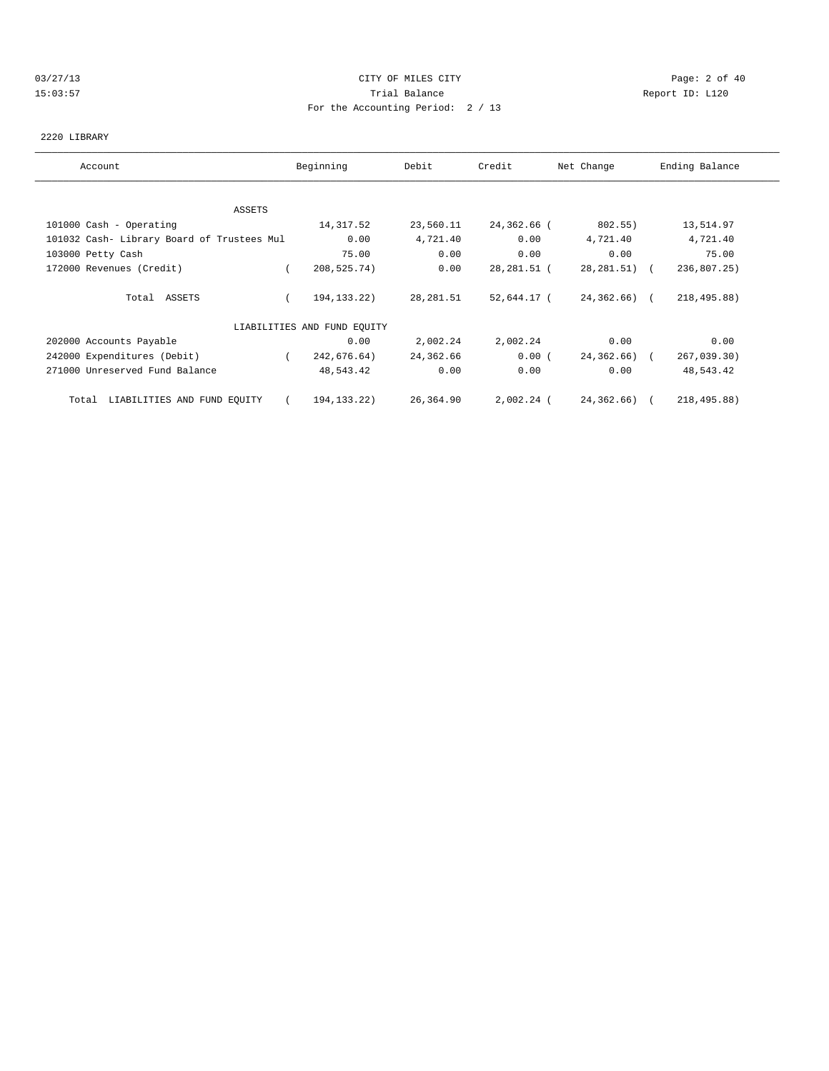## 03/27/13 Page: 2 of 40 15:03:57 Trial Balance Report ID: L120 For the Accounting Period: 2 / 13

### 2220 LIBRARY

| Account                                    | Beginning                   | Debit     | Credit      | Net Change    | Ending Balance |
|--------------------------------------------|-----------------------------|-----------|-------------|---------------|----------------|
|                                            |                             |           |             |               |                |
| ASSETS                                     |                             |           |             |               |                |
| 101000 Cash - Operating                    | 14,317.52                   | 23,560.11 | 24,362.66 ( | 802.55)       | 13,514.97      |
| 101032 Cash- Library Board of Trustees Mul | 0.00                        | 4,721.40  | 0.00        | 4,721.40      | 4,721.40       |
| 103000 Petty Cash                          | 75.00                       | 0.00      | 0.00        | 0.00          | 75.00          |
| 172000 Revenues (Credit)                   | 208,525.74)                 | 0.00      | 28,281.51 ( | 28,281.51) (  | 236,807.25)    |
| Total ASSETS                               | 194, 133. 22)               | 28,281.51 | 52,644.17 ( | $24,362,66$ ( | 218,495.88)    |
|                                            | LIABILITIES AND FUND EQUITY |           |             |               |                |
| 202000 Accounts Payable                    | 0.00                        | 2,002.24  | 2,002.24    | 0.00          | 0.00           |
| 242000 Expenditures (Debit)                | 242,676.64)<br>$\sqrt{2}$   | 24,362.66 | 0.00(       | 24,362.66) (  | 267,039.30)    |
| 271000 Unreserved Fund Balance             | 48,543.42                   | 0.00      | 0.00        | 0.00          | 48,543.42      |
| LIABILITIES AND FUND EQUITY<br>Total       | 194,133.22)                 | 26,364.90 | 2,002.24 (  | 24,362.66) (  | 218,495.88)    |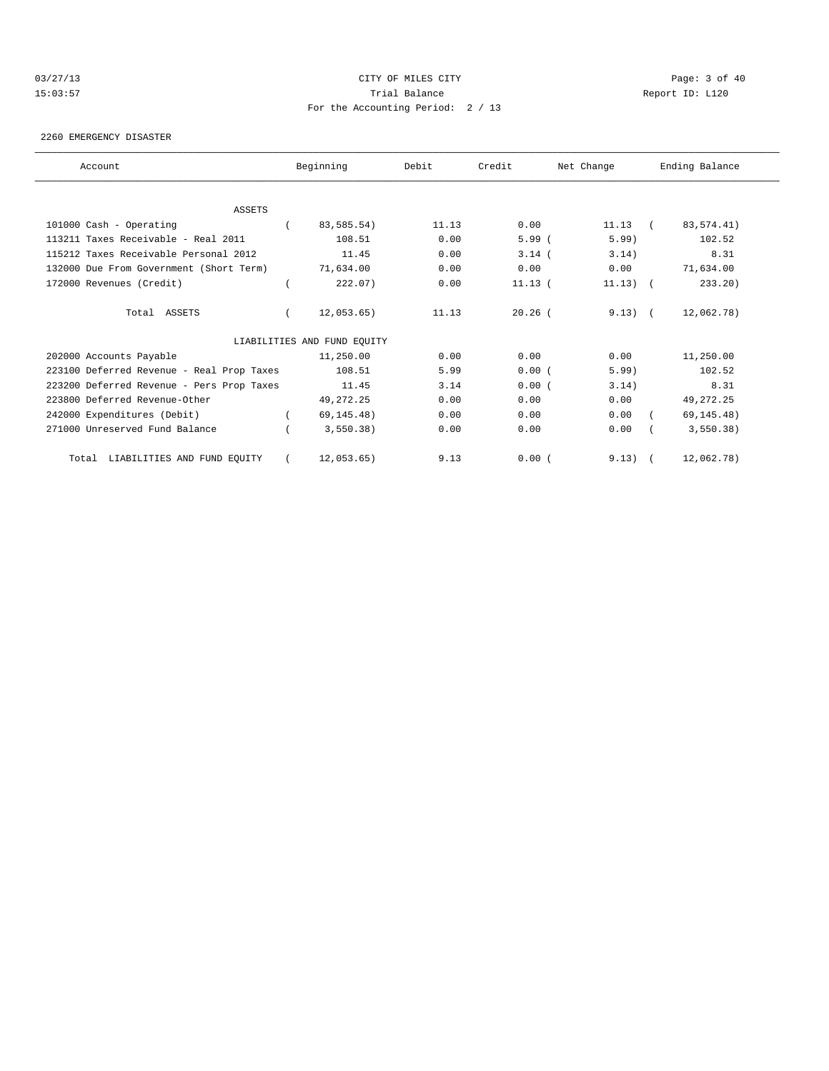## 03/27/13 Page: 3 of 40 15:03:57 Trial Balance Report ID: L120 For the Accounting Period: 2 / 13

#### 2260 EMERGENCY DISASTER

| Account                                   | Beginning                   | Debit | Credit    | Net Change |            | Ending Balance |
|-------------------------------------------|-----------------------------|-------|-----------|------------|------------|----------------|
|                                           |                             |       |           |            |            |                |
| ASSETS                                    |                             |       |           |            |            |                |
| 101000 Cash - Operating                   | 83,585.54)                  | 11.13 | 0.00      | 11.13      | $\sqrt{2}$ | 83, 574.41)    |
| 113211 Taxes Receivable - Real 2011       | 108.51                      | 0.00  | 5.99(     | 5.99)      |            | 102.52         |
| 115212 Taxes Receivable Personal 2012     | 11.45                       | 0.00  | $3.14$ (  | 3.14)      |            | 8.31           |
| 132000 Due From Government (Short Term)   | 71,634.00                   | 0.00  | 0.00      | 0.00       |            | 71,634.00      |
| 172000 Revenues (Credit)                  | 222.07)                     | 0.00  | $11.13$ ( | $11.13)$ ( |            | 233.20         |
| Total ASSETS                              | 12,053.65)                  | 11.13 | $20.26$ ( | $9.13)$ (  |            | 12,062.78)     |
|                                           | LIABILITIES AND FUND EQUITY |       |           |            |            |                |
| 202000 Accounts Payable                   | 11,250.00                   | 0.00  | 0.00      | 0.00       |            | 11,250.00      |
| 223100 Deferred Revenue - Real Prop Taxes | 108.51                      | 5.99  | 0.00(     | 5.99       |            | 102.52         |
| 223200 Deferred Revenue - Pers Prop Taxes | 11.45                       | 3.14  | 0.00(     | 3.14)      |            | 8.31           |
| 223800 Deferred Revenue-Other             | 49, 272. 25                 | 0.00  | 0.00      | 0.00       |            | 49, 272. 25    |
| 242000 Expenditures (Debit)               | 69, 145.48)                 | 0.00  | 0.00      | 0.00       |            | 69, 145.48)    |
| 271000 Unreserved Fund Balance            | 3,550.38)                   | 0.00  | 0.00      | 0.00       |            | 3,550.38)      |
| LIABILITIES AND FUND EQUITY<br>Total      | 12,053.65)                  | 9.13  | 0.00(     | $9.13)$ (  |            | 12,062.78)     |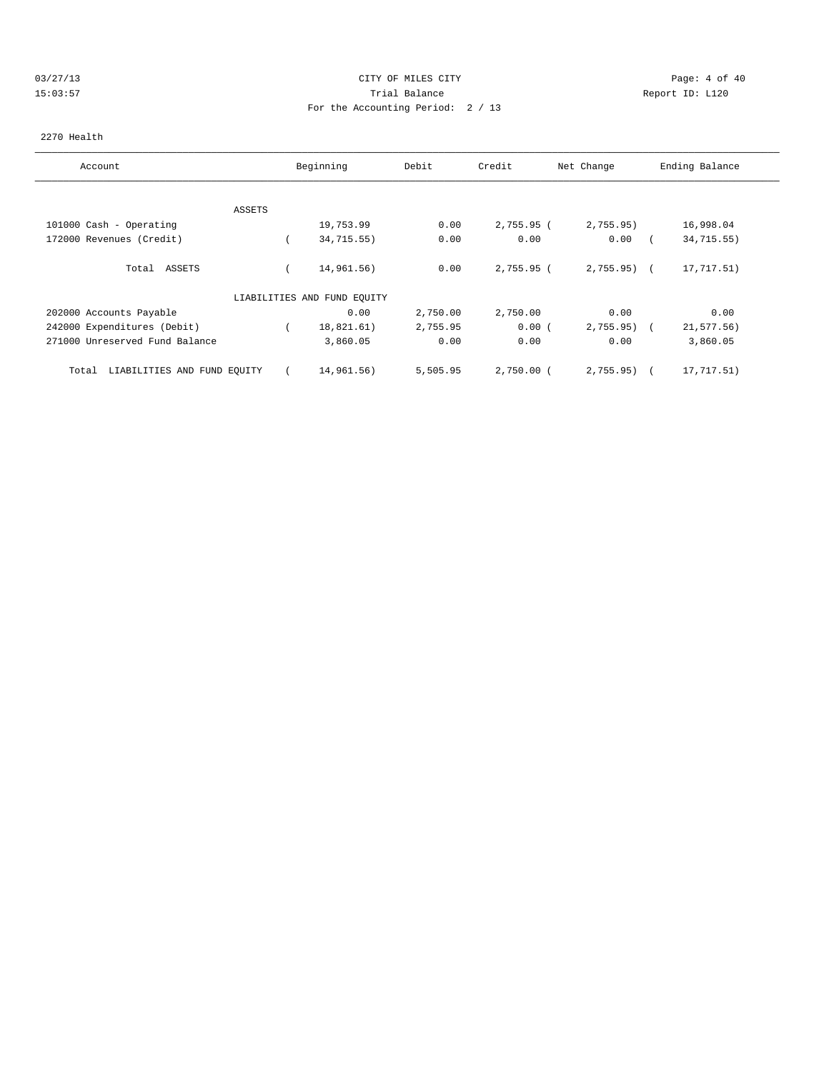# 03/27/13 Page: 4 of 40 15:03:57 Trial Balance Report ID: L120 For the Accounting Period: 2 / 13

### 2270 Health

| Account                              |        | Beginning                   | Debit    | Credit       | Net Change     | Ending Balance |
|--------------------------------------|--------|-----------------------------|----------|--------------|----------------|----------------|
|                                      |        |                             |          |              |                |                |
|                                      | ASSETS |                             |          |              |                |                |
| 101000 Cash - Operating              |        | 19,753.99                   | 0.00     | 2,755.95 (   | 2,755.95)      | 16,998.04      |
| 172000 Revenues (Credit)             |        | 34,715.55)                  | 0.00     | 0.00         | 0.00           | 34,715.55)     |
| Total ASSETS                         |        | 14,961.56)                  | 0.00     | $2,755.95$ ( | $2,755.95$ ) ( | 17,717.51)     |
|                                      |        | LIABILITIES AND FUND EQUITY |          |              |                |                |
| 202000 Accounts Payable              |        | 0.00                        | 2,750.00 | 2,750.00     | 0.00           | 0.00           |
| 242000 Expenditures (Debit)          |        | 18,821.61)                  | 2,755.95 | 0.00(        | 2,755.95)      | $21, 577.56$ ) |
| 271000 Unreserved Fund Balance       |        | 3,860.05                    | 0.00     | 0.00         | 0.00           | 3,860.05       |
| LIABILITIES AND FUND EQUITY<br>Total |        | 14,961.56)                  | 5,505.95 | $2,750.00$ ( | 2,755.95)      | 17,717.51)     |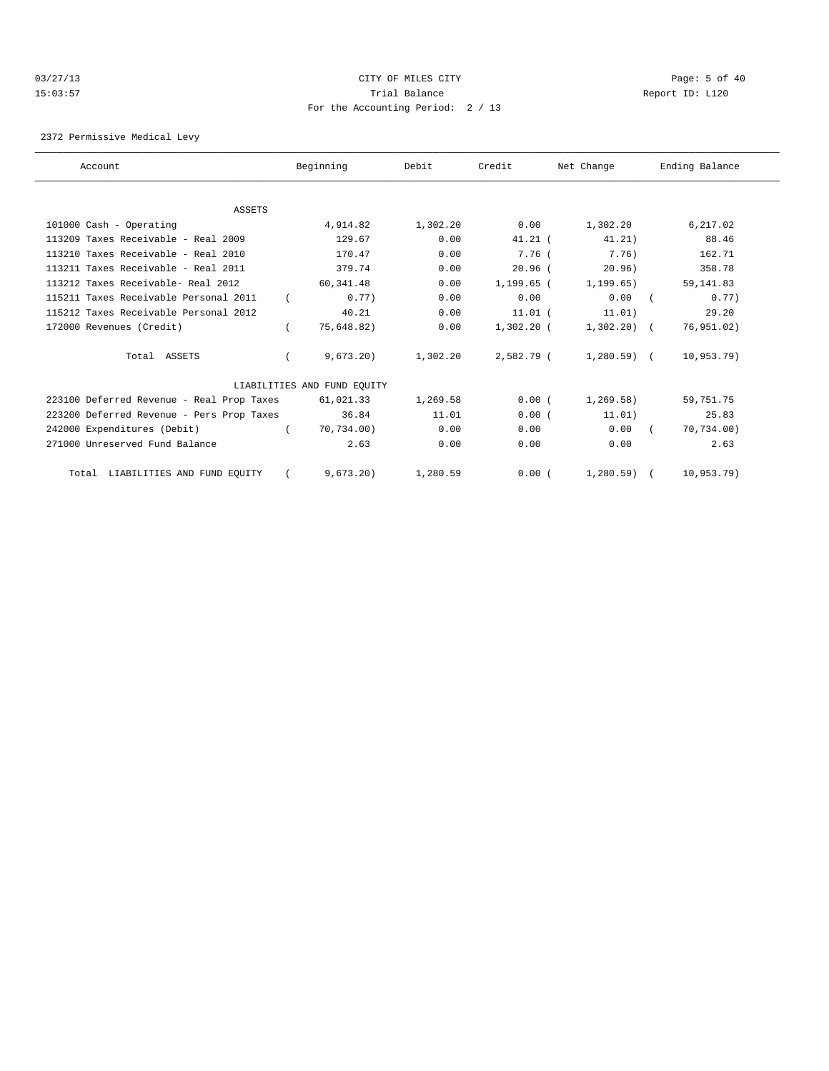## 03/27/13 Page: 5 of 40 15:03:57 Trial Balance Report ID: L120 For the Accounting Period: 2 / 13

2372 Permissive Medical Levy

| Account                                   | Beginning                   | Debit    | Credit       | Net Change   | Ending Balance |
|-------------------------------------------|-----------------------------|----------|--------------|--------------|----------------|
|                                           |                             |          |              |              |                |
| <b>ASSETS</b>                             |                             |          |              |              |                |
| 101000 Cash - Operating                   | 4,914.82                    | 1,302.20 | 0.00         | 1,302.20     | 6,217.02       |
| $113209$ Taxes Receivable - Real $2009$   | 129.67                      | 0.00     | $41.21$ (    | 41.21)       | 88.46          |
| 113210 Taxes Receivable - Real 2010       | 170.47                      | 0.00     | 7.76 (       | 7.76)        | 162.71         |
| 113211 Taxes Receivable - Real 2011       | 379.74                      | 0.00     | $20.96$ (    | 20.96)       | 358.78         |
| 113212 Taxes Receivable- Real 2012        | 60, 341, 48                 | 0.00     | $1.199.65$ ( | 1, 199, 65)  | 59, 141.83     |
| 115211 Taxes Receivable Personal 2011     | 0.77)                       | 0.00     | 0.00         | 0.00         | 0.77           |
| 115212 Taxes Receivable Personal 2012     | 40.21                       | 0.00     | $11.01$ (    | 11.01)       | 29.20          |
| 172000 Revenues (Credit)                  | 75,648.82)                  | 0.00     | $1,302.20$ ( | $1,302.20$ ( | 76,951.02)     |
| Total ASSETS                              | 9,673.20                    | 1,302.20 | 2,582.79 (   | $1,280.59$ ( | 10,953.79)     |
|                                           | LIABILITIES AND FUND EQUITY |          |              |              |                |
| 223100 Deferred Revenue - Real Prop Taxes | 61,021.33                   | 1,269.58 | 0.00(        | 1, 269.58)   | 59,751.75      |
| 223200 Deferred Revenue - Pers Prop Taxes | 36.84                       | 11.01    | 0.00(        | 11.01)       | 25.83          |
| 242000 Expenditures (Debit)               | 70.734.00)                  | 0.00     | 0.00         | 0.00         | 70,734.00)     |
| 271000 Unreserved Fund Balance            | 2.63                        | 0.00     | 0.00         | 0.00         | 2.63           |
| Total LIABILITIES AND FUND EQUITY         | 9.673.20                    | 1,280.59 | 0.00(        | $1,280.59$ ( | 10,953.79)     |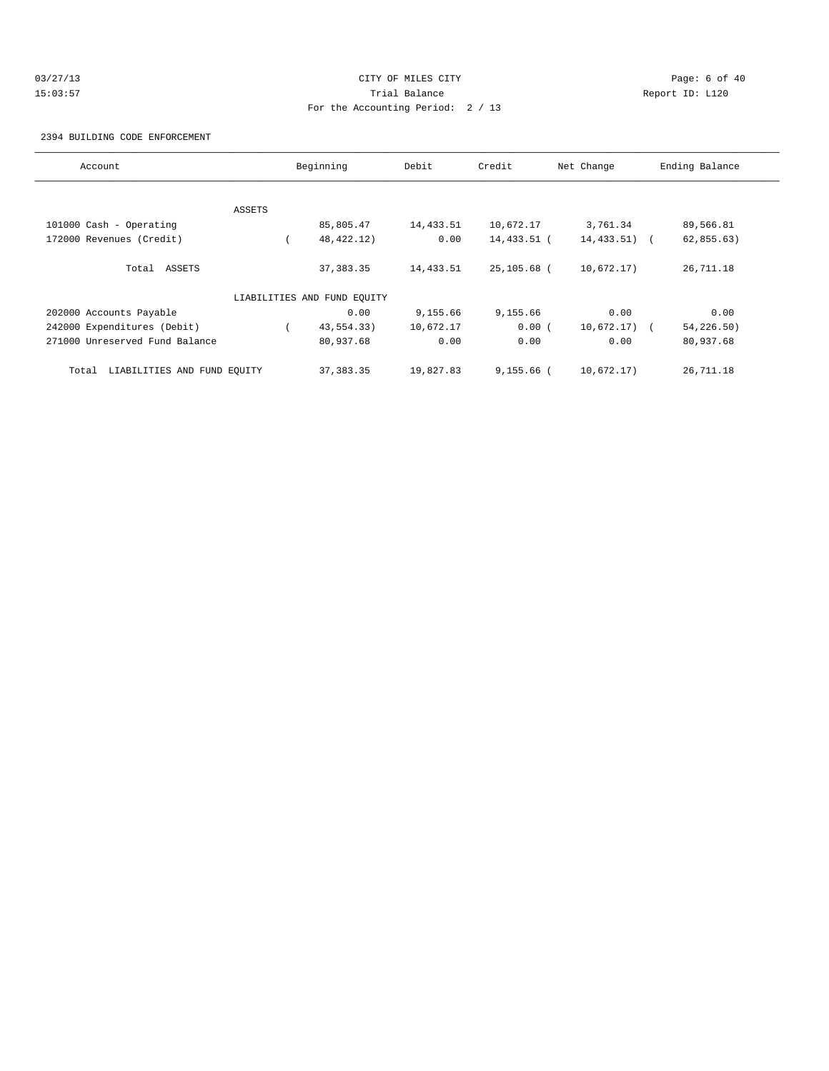# 03/27/13 Page: 6 of 40 15:03:57 Trial Balance Report ID: L120 For the Accounting Period: 2 / 13

2394 BUILDING CODE ENFORCEMENT

| Account                              |        | Beginning                   | Debit     | Credit       | Net Change      | Ending Balance |
|--------------------------------------|--------|-----------------------------|-----------|--------------|-----------------|----------------|
|                                      |        |                             |           |              |                 |                |
|                                      | ASSETS |                             |           |              |                 |                |
| 101000 Cash - Operating              |        | 85,805.47                   | 14,433.51 | 10,672.17    | 3,761.34        | 89,566.81      |
| 172000 Revenues (Credit)             |        | 48, 422. 12)                | 0.00      | 14,433.51 (  | $14, 433.51$ (  | 62,855.63)     |
| Total ASSETS                         |        | 37, 383.35                  | 14,433.51 | 25,105.68 (  | 10,672.17)      | 26,711.18      |
|                                      |        | LIABILITIES AND FUND EQUITY |           |              |                 |                |
| 202000 Accounts Payable              |        | 0.00                        | 9,155.66  | 9,155.66     | 0.00            | 0.00           |
| 242000 Expenditures (Debit)          |        | 43,554.33)                  | 10,672.17 | 0.00(        | $10,672.17$ ) ( | 54,226.50)     |
| 271000 Unreserved Fund Balance       |        | 80,937.68                   | 0.00      | 0.00         | 0.00            | 80,937.68      |
| LIABILITIES AND FUND EQUITY<br>Total |        | 37, 383.35                  | 19,827.83 | $9,155.66$ ( | 10,672.17)      | 26,711.18      |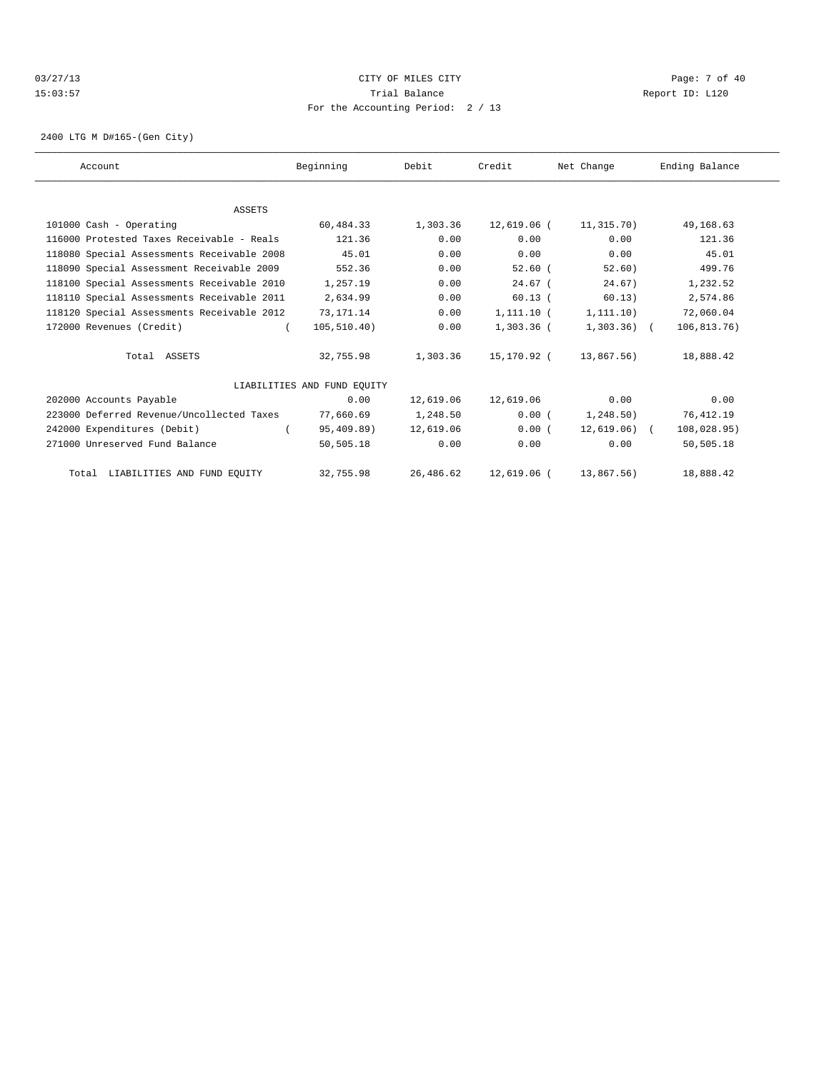## 03/27/13 Page: 7 of 40 15:03:57 Trial Balance Report ID: L120 For the Accounting Period: 2 / 13

2400 LTG M D#165-(Gen City)

| Account                                    | Beginning                   | Debit     | Credit       | Net Change    | Ending Balance |  |
|--------------------------------------------|-----------------------------|-----------|--------------|---------------|----------------|--|
|                                            |                             |           |              |               |                |  |
| <b>ASSETS</b>                              |                             |           |              |               |                |  |
| 101000 Cash - Operating                    | 60,484.33                   | 1,303.36  | 12,619.06 (  | 11,315.70)    | 49,168.63      |  |
| 116000 Protested Taxes Receivable - Reals  | 121.36                      | 0.00      | 0.00         | 0.00          | 121.36         |  |
| 118080 Special Assessments Receivable 2008 | 45.01                       | 0.00      | 0.00         | 0.00          | 45.01          |  |
| 118090 Special Assessment Receivable 2009  | 552.36                      | 0.00      | $52.60$ (    | 52.60)        | 499.76         |  |
| 118100 Special Assessments Receivable 2010 | 1,257.19                    | 0.00      | $24.67$ (    | 24.67)        | 1,232.52       |  |
| 118110 Special Assessments Receivable 2011 | 2,634.99                    | 0.00      | $60.13$ (    | 60.13)        | 2,574.86       |  |
| 118120 Special Assessments Receivable 2012 | 73,171.14                   | 0.00      | $1,111.10$ ( | 1, 111.10)    | 72,060.04      |  |
| 172000 Revenues (Credit)                   | 105, 510.40)                | 0.00      | 1,303.36 (   | $1,303.36$ (  | 106, 813.76)   |  |
| Total ASSETS                               | 32,755.98                   | 1,303.36  | 15,170.92 (  | 13,867.56)    | 18,888.42      |  |
|                                            | LIABILITIES AND FUND EOUITY |           |              |               |                |  |
| 202000 Accounts Payable                    | 0.00                        | 12,619.06 | 12,619.06    | 0.00          | 0.00           |  |
| 223000 Deferred Revenue/Uncollected Taxes  | 77,660.69                   | 1,248.50  | 0.00(        | 1, 248.50)    | 76,412.19      |  |
| 242000 Expenditures (Debit)                | 95,409.89)                  | 12,619.06 | 0.00(        | $12,619.06$ ( | 108,028.95)    |  |
| 271000 Unreserved Fund Balance             | 50,505.18                   | 0.00      | 0.00         | 0.00          | 50,505.18      |  |
| Total LIABILITIES AND FUND EQUITY          | 32,755.98                   | 26,486.62 | 12,619.06 (  | 13,867.56)    | 18,888.42      |  |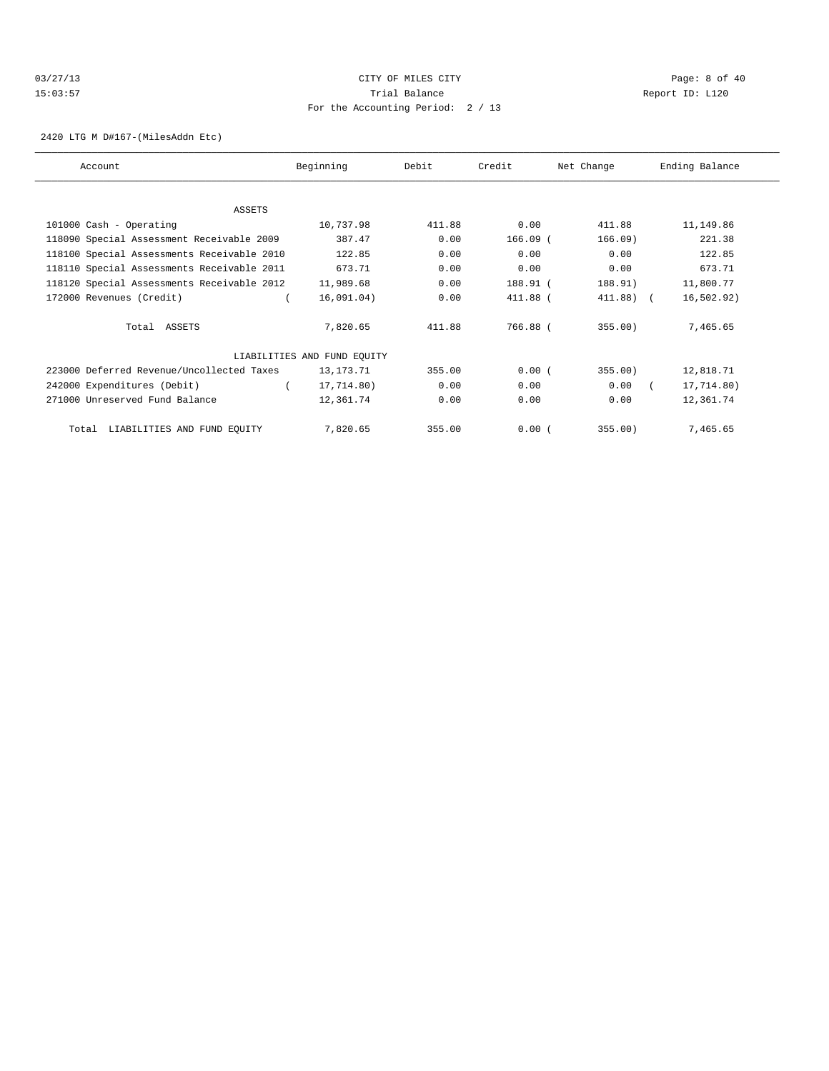# 03/27/13 Page: 8 of 40 15:03:57 Trial Balance Report ID: L120 For the Accounting Period: 2 / 13

### 2420 LTG M D#167-(MilesAddn Etc)

| Account                                    | Beginning                   | Debit  | Credit     | Net Change | Ending Balance |  |
|--------------------------------------------|-----------------------------|--------|------------|------------|----------------|--|
|                                            |                             |        |            |            |                |  |
| <b>ASSETS</b>                              |                             |        |            |            |                |  |
| 101000 Cash - Operating                    | 10,737.98                   | 411.88 | 0.00       | 411.88     | 11,149.86      |  |
| 118090 Special Assessment Receivable 2009  | 387.47                      | 0.00   | $166.09$ ( | 166.09)    | 221.38         |  |
| 118100 Special Assessments Receivable 2010 | 122.85                      | 0.00   | 0.00       | 0.00       | 122.85         |  |
| 118110 Special Assessments Receivable 2011 | 673.71                      | 0.00   | 0.00       | 0.00       | 673.71         |  |
| 118120 Special Assessments Receivable 2012 | 11,989.68                   | 0.00   | 188.91 (   | 188.91)    | 11,800.77      |  |
| 172000 Revenues (Credit)                   | 16,091.04)                  | 0.00   | $411.88$ ( | 411.88) (  | 16, 502.92)    |  |
| Total ASSETS                               | 7,820.65                    | 411.88 | 766.88 (   | 355.00)    | 7,465.65       |  |
|                                            | LIABILITIES AND FUND EQUITY |        |            |            |                |  |
| 223000 Deferred Revenue/Uncollected Taxes  | 13,173.71                   | 355.00 | 0.00(      | 355.00)    | 12,818.71      |  |
| 242000 Expenditures (Debit)                | 17,714.80)                  | 0.00   | 0.00       | 0.00       | 17,714.80)     |  |
| 271000 Unreserved Fund Balance             | 12,361.74                   | 0.00   | 0.00       | 0.00       | 12,361.74      |  |
| LIABILITIES AND FUND EQUITY<br>Total       | 7,820.65                    | 355.00 | 0.00(      | 355.00)    | 7,465.65       |  |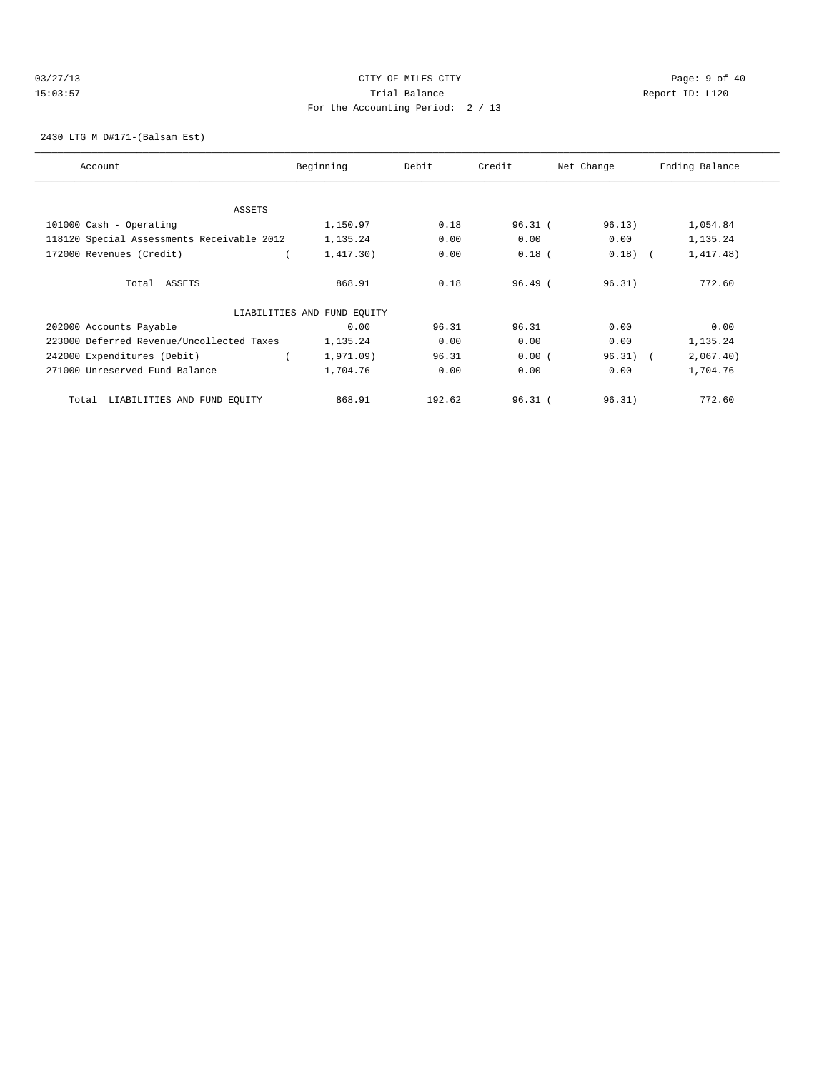# 03/27/13 Page: 9 of 40 15:03:57 Trial Balance Report ID: L120 For the Accounting Period: 2 / 13

## 2430 LTG M D#171-(Balsam Est)

| Account                                    | Beginning                   | Debit  | Credit    | Net Change | Ending Balance |
|--------------------------------------------|-----------------------------|--------|-----------|------------|----------------|
|                                            |                             |        |           |            |                |
| <b>ASSETS</b>                              |                             |        |           |            |                |
| 101000 Cash - Operating                    | 1,150.97                    | 0.18   | $96.31$ ( | 96.13)     | 1,054.84       |
| 118120 Special Assessments Receivable 2012 | 1,135.24                    | 0.00   | 0.00      | 0.00       | 1,135.24       |
| 172000 Revenues (Credit)                   | 1,417.30)                   | 0.00   | $0.18$ (  | $0.18)$ (  | 1,417.48)      |
| Total ASSETS                               | 868.91                      | 0.18   | 96.49(    | 96.31)     | 772.60         |
|                                            | LIABILITIES AND FUND EQUITY |        |           |            |                |
| 202000 Accounts Payable                    | 0.00                        | 96.31  | 96.31     | 0.00       | 0.00           |
| 223000 Deferred Revenue/Uncollected Taxes  | 1,135.24                    | 0.00   | 0.00      | 0.00       | 1,135.24       |
| 242000 Expenditures (Debit)                | 1,971.09)                   | 96.31  | 0.00(     | $96.31)$ ( | 2,067.40)      |
| 271000 Unreserved Fund Balance             | 1,704.76                    | 0.00   | 0.00      | 0.00       | 1,704.76       |
| LIABILITIES AND FUND EQUITY<br>Total       | 868.91                      | 192.62 | $96.31$ ( | 96.31)     | 772.60         |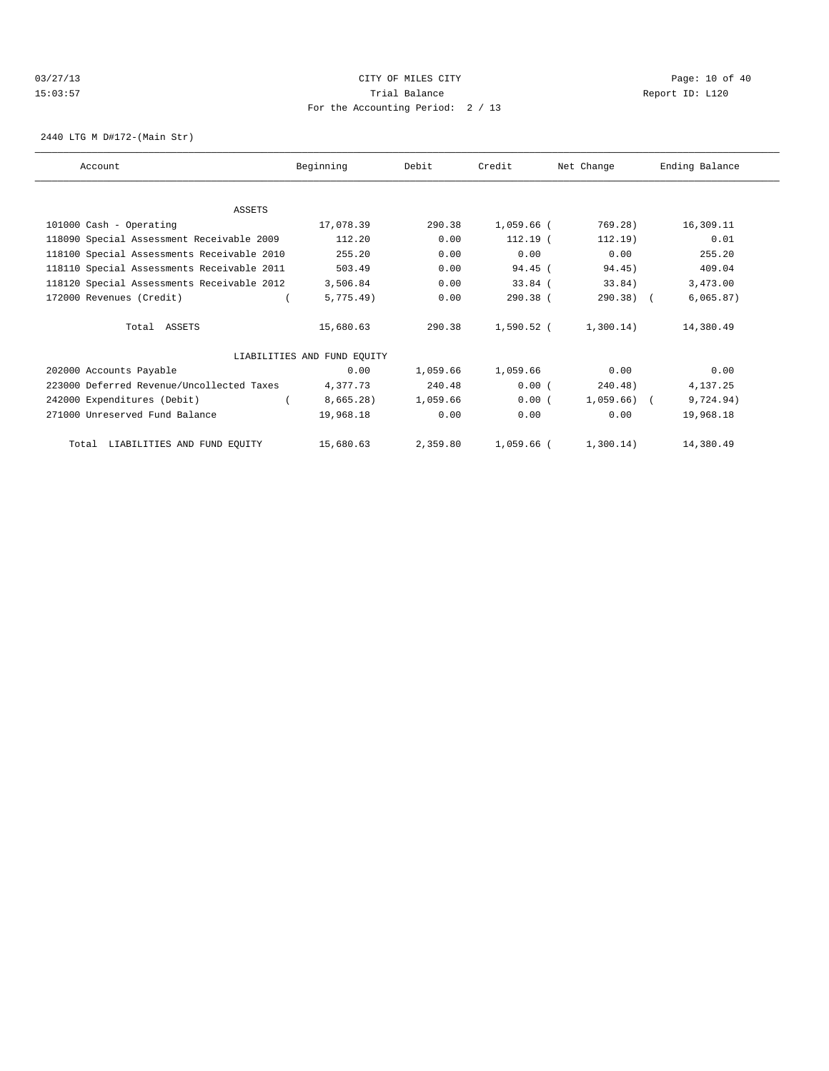## 03/27/13 Page: 10 of 40 15:03:57 Trial Balance Report ID: L120 For the Accounting Period: 2 / 13

2440 LTG M D#172-(Main Str)

| Account                                    | Beginning                   | Debit    | Credit     | Net Change     | Ending Balance |
|--------------------------------------------|-----------------------------|----------|------------|----------------|----------------|
|                                            |                             |          |            |                |                |
| ASSETS                                     |                             |          |            |                |                |
| 101000 Cash - Operating                    | 17,078.39                   | 290.38   | 1,059.66 ( | 769.28)        | 16,309.11      |
| 118090 Special Assessment Receivable 2009  | 112.20                      | 0.00     | $112.19$ ( | 112.19)        | 0.01           |
| 118100 Special Assessments Receivable 2010 | 255.20                      | 0.00     | 0.00       | 0.00           | 255.20         |
| 118110 Special Assessments Receivable 2011 | 503.49                      | 0.00     | $94.45$ (  | 94.45)         | 409.04         |
| 118120 Special Assessments Receivable 2012 | 3,506.84                    | 0.00     | $33.84$ (  | 33.84)         | 3,473.00       |
| 172000 Revenues (Credit)                   | 5,775.49)                   | 0.00     | 290.38 (   | $290.38$ (     | 6,065.87)      |
| Total ASSETS                               | 15,680.63                   | 290.38   | 1,590.52 ( | 1,300.14)      | 14,380.49      |
|                                            | LIABILITIES AND FUND EQUITY |          |            |                |                |
| 202000 Accounts Payable                    | 0.00                        | 1,059.66 | 1,059.66   | 0.00           | 0.00           |
| 223000 Deferred Revenue/Uncollected Taxes  | 4,377.73                    | 240.48   | 0.00(      | 240.48)        | 4,137.25       |
| 242000 Expenditures (Debit)                | 8,665.28)                   | 1,059.66 | 0.00(      | $1,059.66$ ) ( | 9,724.94)      |
| 271000 Unreserved Fund Balance             | 19,968.18                   | 0.00     | 0.00       | 0.00           | 19,968.18      |
| Total LIABILITIES AND FUND EQUITY          | 15,680.63                   | 2,359.80 | 1,059.66 ( | 1,300.14)      | 14,380.49      |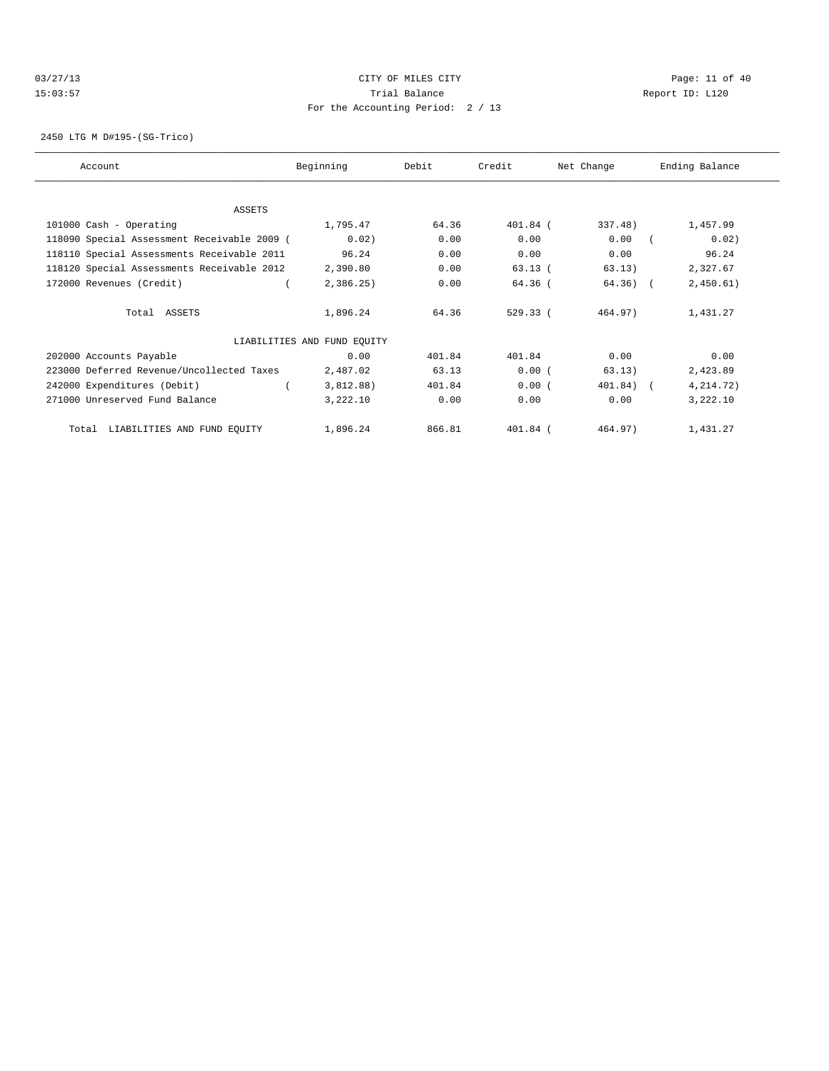# 03/27/13 Page: 11 of 40 15:03:57 Trial Balance Report ID: L120 For the Accounting Period: 2 / 13

2450 LTG M D#195-(SG-Trico)

| Account                                     | Beginning                   | Debit  | Credit     | Net Change   | Ending Balance |
|---------------------------------------------|-----------------------------|--------|------------|--------------|----------------|
|                                             |                             |        |            |              |                |
| ASSETS                                      |                             |        |            |              |                |
| 101000 Cash - Operating                     | 1,795.47                    | 64.36  | 401.84 (   | 337.48)      | 1,457.99       |
| 118090 Special Assessment Receivable 2009 ( | 0.02)                       | 0.00   | 0.00       | 0.00         | 0.02)          |
| 118110 Special Assessments Receivable 2011  | 96.24                       | 0.00   | 0.00       | 0.00         | 96.24          |
| 118120 Special Assessments Receivable 2012  | 2,390.80                    | 0.00   | 63.13(     | 63.13)       | 2,327.67       |
| 172000 Revenues (Credit)                    | 2,386.25                    | 0.00   | 64.36 (    | $64.36)$ (   | 2,450.61)      |
| Total ASSETS                                | 1,896.24                    | 64.36  | 529.33(    | 464.97)      | 1,431.27       |
|                                             | LIABILITIES AND FUND EQUITY |        |            |              |                |
| 202000 Accounts Payable                     | 0.00                        | 401.84 | 401.84     | 0.00         | 0.00           |
| 223000 Deferred Revenue/Uncollected Taxes   | 2,487.02                    | 63.13  | 0.00(      | 63.13)       | 2,423.89       |
| 242000 Expenditures (Debit)                 | 3,812.88)                   | 401.84 | 0.00(      | $401.84$ ) ( | 4, 214.72)     |
| 271000 Unreserved Fund Balance              | 3,222.10                    | 0.00   | 0.00       | 0.00         | 3,222.10       |
| Total LIABILITIES AND FUND EQUITY           | 1,896.24                    | 866.81 | $401.84$ ( | 464.97)      | 1,431.27       |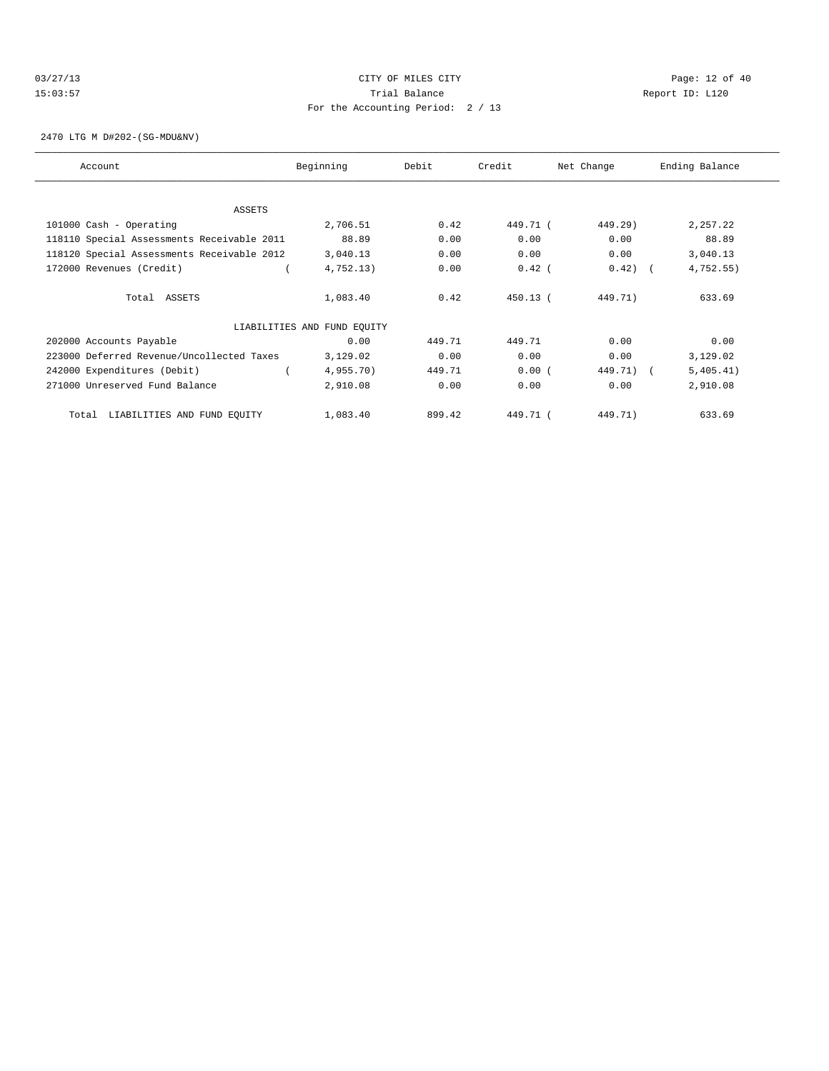# 03/27/13 Page: 12 of 40 15:03:57 Trial Balance Report ID: L120 For the Accounting Period: 2 / 13

2470 LTG M D#202-(SG-MDU&NV)

| Account                                    | Beginning                   | Debit  | Credit     | Net Change | Ending Balance |
|--------------------------------------------|-----------------------------|--------|------------|------------|----------------|
|                                            |                             |        |            |            |                |
| <b>ASSETS</b>                              |                             |        |            |            |                |
| 101000 Cash - Operating                    | 2,706.51                    | 0.42   | 449.71 (   | 449.29)    | 2,257.22       |
| 118110 Special Assessments Receivable 2011 | 88.89                       | 0.00   | 0.00       | 0.00       | 88.89          |
| 118120 Special Assessments Receivable 2012 | 3,040.13                    | 0.00   | 0.00       | 0.00       | 3,040.13       |
| 172000 Revenues (Credit)                   | 4,752.13)                   | 0.00   | $0.42$ (   | $0.42)$ (  | 4,752.55)      |
| Total ASSETS                               | 1,083.40                    | 0.42   | $450.13$ ( | 449.71)    | 633.69         |
|                                            | LIABILITIES AND FUND EQUITY |        |            |            |                |
| 202000 Accounts Payable                    | 0.00                        | 449.71 | 449.71     | 0.00       | 0.00           |
| 223000 Deferred Revenue/Uncollected Taxes  | 3,129.02                    | 0.00   | 0.00       | 0.00       | 3,129.02       |
| 242000 Expenditures (Debit)                | 4,955.70)                   | 449.71 | 0.00(      | 449.71) (  | 5,405.41)      |
| 271000 Unreserved Fund Balance             | 2,910.08                    | 0.00   | 0.00       | 0.00       | 2,910.08       |
| LIABILITIES AND FUND EQUITY<br>Total       | 1,083.40                    | 899.42 | 449.71 (   | 449.71)    | 633.69         |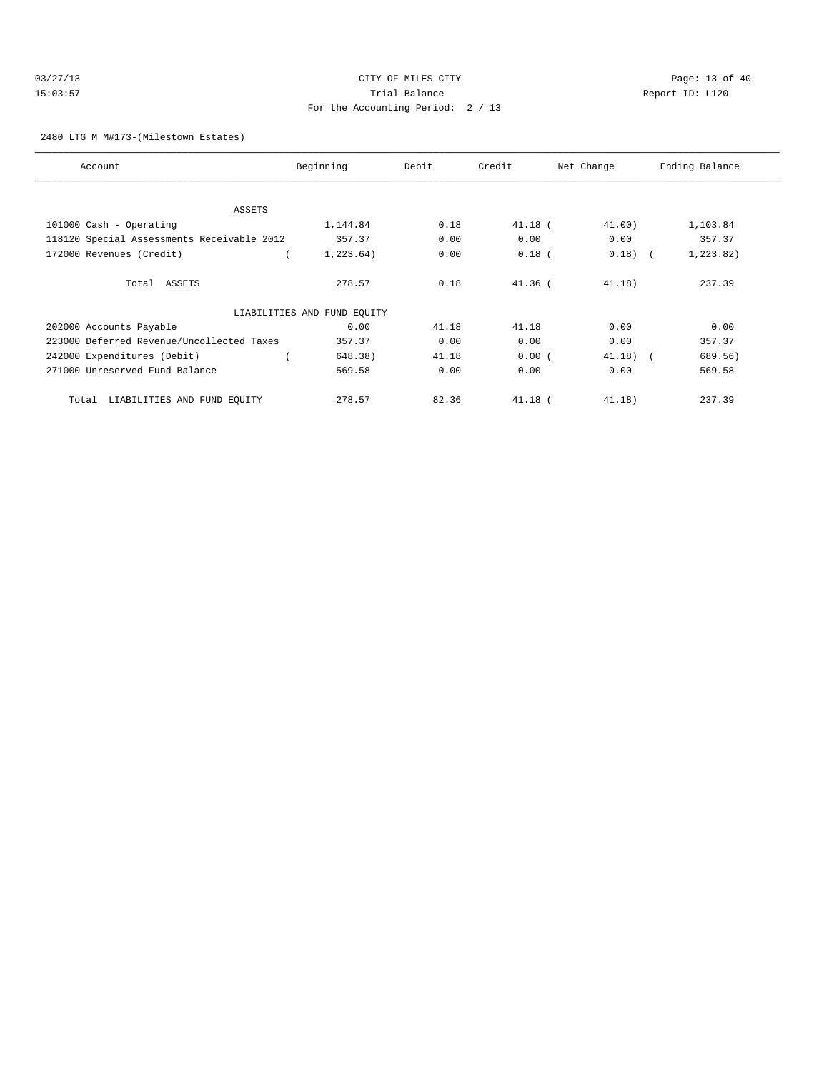| 03/27/13 | CITY OF MILES CITY                | Page: $13o$     |
|----------|-----------------------------------|-----------------|
| 15:03:57 | Trial Balance                     | Report ID: L120 |
|          | For the Accounting Period: 2 / 13 |                 |

Page: 13 of 40

### 2480 LTG M M#173-(Milestown Estates)

| Account                                    | Beginning                   | Debit | Credit    | Net Change | Ending Balance |
|--------------------------------------------|-----------------------------|-------|-----------|------------|----------------|
|                                            |                             |       |           |            |                |
|                                            |                             |       |           |            |                |
| ASSETS                                     |                             |       |           |            |                |
| 101000 Cash - Operating                    | 1,144.84                    | 0.18  | $41.18$ ( | 41.00)     | 1,103.84       |
| 118120 Special Assessments Receivable 2012 | 357.37                      | 0.00  | 0.00      | 0.00       | 357.37         |
| 172000 Revenues (Credit)                   | 1, 223.64)                  | 0.00  | $0.18$ (  | $0.18)$ (  | 1, 223.82)     |
| Total ASSETS                               | 278.57                      | 0.18  | $41.36$ ( | 41.18)     | 237.39         |
|                                            | LIABILITIES AND FUND EQUITY |       |           |            |                |
| 202000 Accounts Payable                    | 0.00                        | 41.18 | 41.18     | 0.00       | 0.00           |
| 223000 Deferred Revenue/Uncollected Taxes  | 357.37                      | 0.00  | 0.00      | 0.00       | 357.37         |
| 242000 Expenditures (Debit)                | 648.38)                     | 41.18 | 0.00(     | $41.18$ (  | 689.56)        |
| 271000 Unreserved Fund Balance             | 569.58                      | 0.00  | 0.00      | 0.00       | 569.58         |
| LIABILITIES AND FUND EQUITY<br>Total       | 278.57                      | 82.36 | $41.18$ ( | 41.18)     | 237.39         |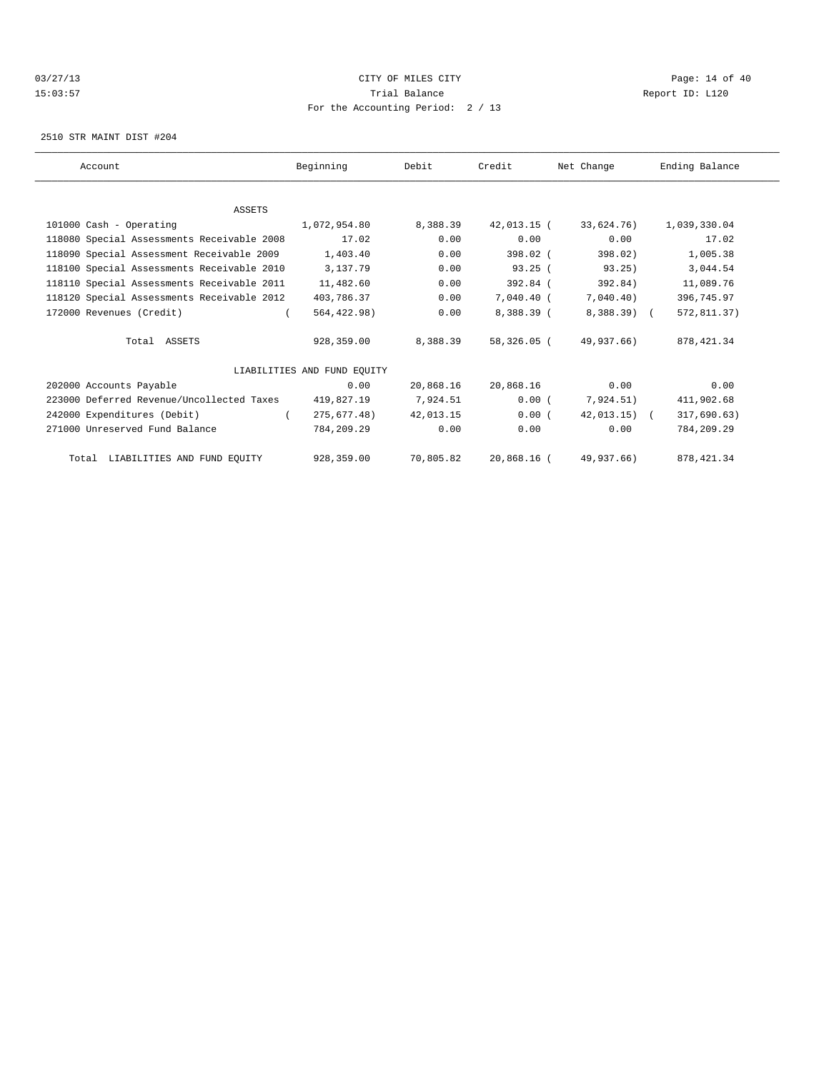## $CITY$   $CITY$   $CITY$   $D3/27/13$   $Page: 14 of 40$ 15:03:57 Trial Balance Report ID: L120 For the Accounting Period: 2 / 13

2510 STR MAINT DIST #204

| Account                                    | Beginning                   | Debit     | Credit        | Net Change    | Ending Balance |
|--------------------------------------------|-----------------------------|-----------|---------------|---------------|----------------|
|                                            |                             |           |               |               |                |
|                                            |                             |           |               |               |                |
| <b>ASSETS</b>                              |                             |           |               |               |                |
| 101000 Cash - Operating                    | 1,072,954.80                | 8,388.39  | $42.013.15$ ( | 33,624,76)    | 1,039,330.04   |
| 118080 Special Assessments Receivable 2008 | 17.02                       | 0.00      | 0.00          | 0.00          | 17.02          |
| 118090 Special Assessment Receivable 2009  | 1,403.40                    | 0.00      | 398.02 (      | 398.02        | 1,005.38       |
| 118100 Special Assessments Receivable 2010 | 3,137.79                    | 0.00      | 93.25(        | 93.25)        | 3,044.54       |
| 118110 Special Assessments Receivable 2011 | 11,482.60                   | 0.00      | $392.84$ (    | 392.84)       | 11,089.76      |
| 118120 Special Assessments Receivable 2012 | 403,786.37                  | 0.00      | 7,040.40 (    | 7,040.40)     | 396,745.97     |
| 172000 Revenues (Credit)                   | 564,422.98)                 | 0.00      | 8,388.39 (    | 8,388.39) (   | 572,811.37)    |
|                                            |                             |           |               |               |                |
| Total ASSETS                               | 928,359.00                  | 8,388.39  | 58,326.05 (   | 49,937.66)    | 878, 421.34    |
|                                            | LIABILITIES AND FUND EOUITY |           |               |               |                |
| 202000 Accounts Payable                    | 0.00                        | 20,868.16 | 20,868.16     | 0.00          | 0.00           |
| 223000 Deferred Revenue/Uncollected Taxes  |                             |           |               |               |                |
|                                            | 419,827.19                  | 7,924.51  | 0.00(         | 7,924.51)     | 411,902.68     |
| 242000 Expenditures (Debit)                | 275,677.48)                 | 42,013.15 | 0.00(         | $42.013.15$ ( | 317,690.63)    |
| 271000 Unreserved Fund Balance             | 784,209.29                  | 0.00      | 0.00          | 0.00          | 784,209.29     |
| Total LIABILITIES AND FUND EQUITY          | 928,359.00                  | 70,805.82 | 20,868.16 (   | 49,937.66)    | 878, 421.34    |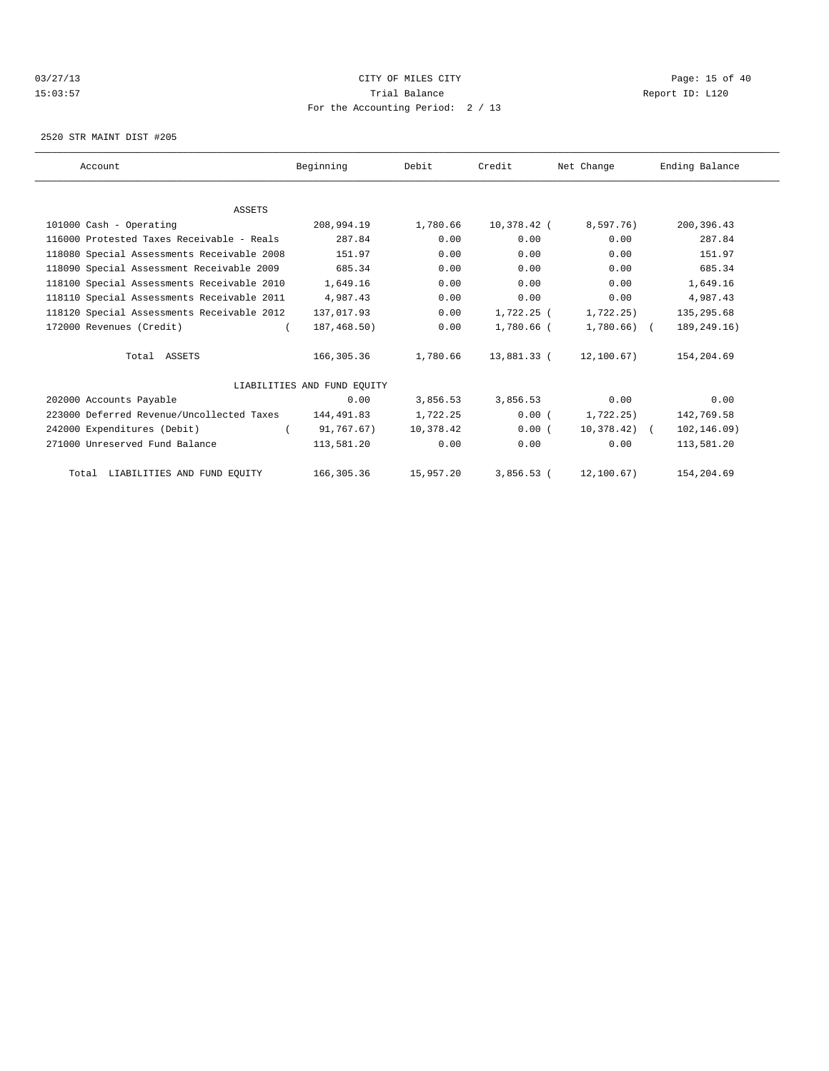## 03/27/13 Page: 15 of 40 15:03:57 Trial Balance Report ID: L120 For the Accounting Period: 2 / 13

2520 STR MAINT DIST #205

| Account                                    | Beginning                   | Debit     | Credit       | Net Change      | Ending Balance |
|--------------------------------------------|-----------------------------|-----------|--------------|-----------------|----------------|
|                                            |                             |           |              |                 |                |
| <b>ASSETS</b>                              |                             |           |              |                 |                |
| 101000 Cash - Operating                    | 208,994.19                  | 1,780.66  | 10,378.42 (  | 8,597.76)       | 200,396.43     |
| 116000 Protested Taxes Receivable - Reals  | 287.84                      | 0.00      | 0.00         | 0.00            | 287.84         |
| 118080 Special Assessments Receivable 2008 | 151.97                      | 0.00      | 0.00         | 0.00            | 151.97         |
| 118090 Special Assessment Receivable 2009  | 685.34                      | 0.00      | 0.00         | 0.00            | 685.34         |
| 118100 Special Assessments Receivable 2010 | 1,649.16                    | 0.00      | 0.00         | 0.00            | 1,649.16       |
| 118110 Special Assessments Receivable 2011 | 4,987.43                    | 0.00      | 0.00         | 0.00            | 4,987.43       |
| 118120 Special Assessments Receivable 2012 | 137,017.93                  | 0.00      | 1,722.25 (   | 1,722.25)       | 135,295.68     |
| 172000 Revenues (Credit)                   | 187,468.50)                 | 0.00      | 1,780.66 (   | $1,780.66$ ) (  | 189,249.16)    |
| Total ASSETS                               | 166,305.36                  | 1,780.66  | 13,881.33 (  | 12,100.67)      | 154,204.69     |
|                                            | LIABILITIES AND FUND EQUITY |           |              |                 |                |
| 202000 Accounts Payable                    | 0.00                        | 3,856.53  | 3,856.53     | 0.00            | 0.00           |
| 223000 Deferred Revenue/Uncollected Taxes  | 144,491.83                  | 1,722.25  | 0.00(        | 1,722.25)       | 142,769.58     |
| 242000 Expenditures (Debit)                | 91,767.67)                  | 10,378.42 | 0.00(        | $10,378.42$ ) ( | 102, 146.09)   |
| 271000 Unreserved Fund Balance             | 113,581.20                  | 0.00      | 0.00         | 0.00            | 113,581.20     |
| Total LIABILITIES AND FUND EQUITY          | 166,305.36                  | 15,957.20 | $3.856.53$ ( | 12,100.67)      | 154,204.69     |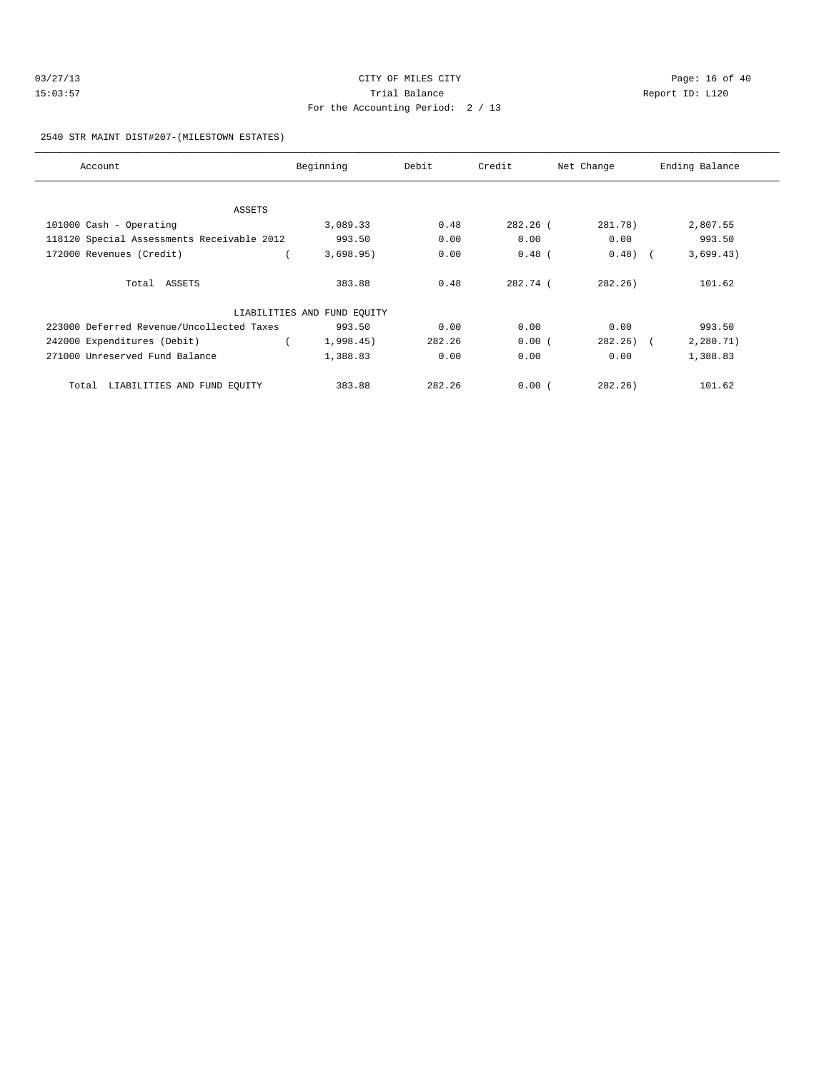| 03/27/13 | CITY OF MILES CITY                | Page: 16 of 40  |  |
|----------|-----------------------------------|-----------------|--|
| 15:03:57 | Trial Balance                     | Report ID: L120 |  |
|          | For the Accounting Period: 2 / 13 |                 |  |

2540 STR MAINT DIST#207-(MILESTOWN ESTATES)

| Account                                    | Beginning                   | Debit  | Credit     | Net Change    | Ending Balance |
|--------------------------------------------|-----------------------------|--------|------------|---------------|----------------|
|                                            |                             |        |            |               |                |
| ASSETS                                     |                             |        |            |               |                |
| 101000 Cash - Operating                    | 3,089.33                    | 0.48   | $282.26$ ( | 281.78)       | 2,807.55       |
| 118120 Special Assessments Receivable 2012 | 993.50                      | 0.00   | 0.00       | 0.00          | 993.50         |
| 172000 Revenues (Credit)                   | 3,698.95)                   | 0.00   | $0.48$ (   | $0.48)$ (     | 3,699.43)      |
| Total ASSETS                               | 383.88                      | 0.48   | 282.74 (   | 282.26        | 101.62         |
|                                            | LIABILITIES AND FUND EQUITY |        |            |               |                |
| 223000 Deferred Revenue/Uncollected Taxes  | 993.50                      | 0.00   | 0.00       | 0.00          | 993.50         |
| 242000 Expenditures (Debit)                | 1,998.45)                   | 282.26 | 0.00(      | $282, 26$ ) ( | 2,280.71)      |
| 271000 Unreserved Fund Balance             | 1,388.83                    | 0.00   | 0.00       | 0.00          | 1,388.83       |
| LIABILITIES AND FUND EQUITY<br>Total       | 383.88                      | 282.26 | 0.00(      | 282.26        | 101.62         |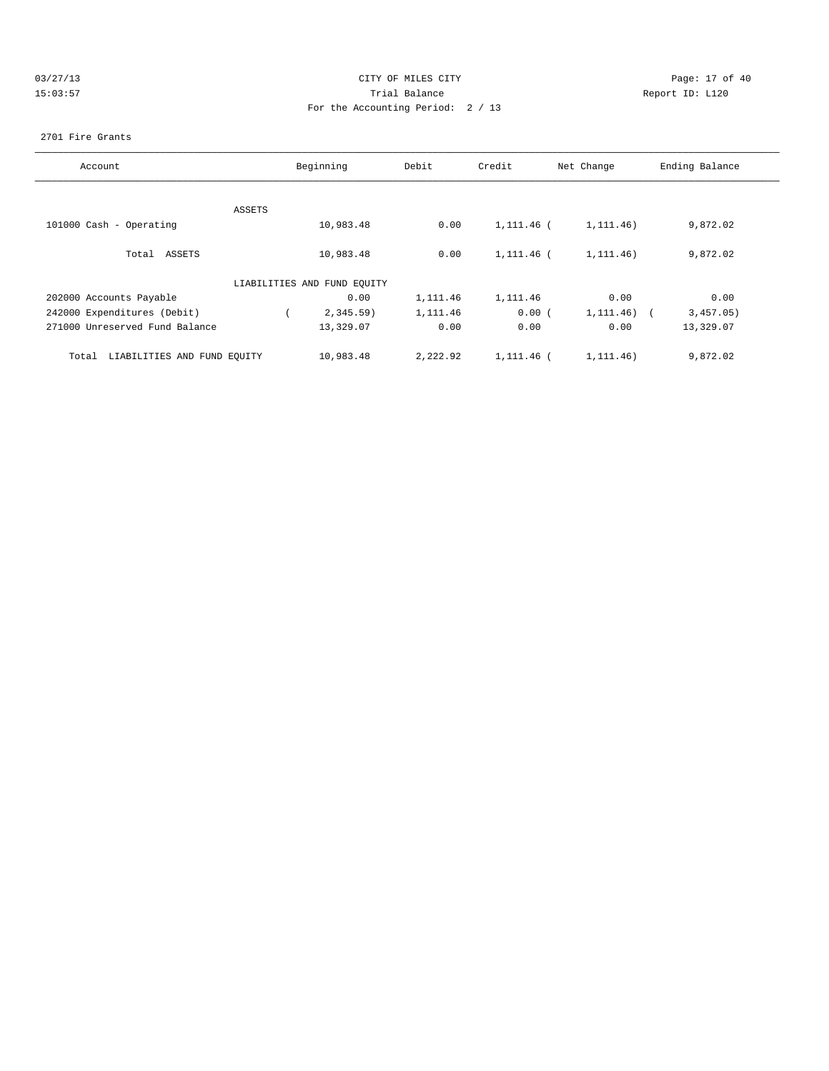|    | 03/27/13 |  |
|----|----------|--|
| 1. | 5:03:    |  |

# CITY OF MILES CITY CONTROL CONTROL CONTROL CONTROL CONTROL PAGE: 17 of 40 15:03:57 Trial Balance Communications of the Report ID: L120 For the Accounting Period: 2 / 13

### 2701 Fire Grants

| Account                              |        | Beginning                   | Debit    | Credit     | Net Change               | Ending Balance |
|--------------------------------------|--------|-----------------------------|----------|------------|--------------------------|----------------|
|                                      |        |                             |          |            |                          |                |
|                                      | ASSETS |                             |          |            |                          |                |
| 101000 Cash - Operating              |        | 10,983.48                   | 0.00     | 1,111.46 ( | 1,111.46)                | 9,872.02       |
| Total ASSETS                         |        | 10,983.48                   | 0.00     | 1,111.46 ( | 1,111.46)                | 9,872.02       |
|                                      |        | LIABILITIES AND FUND EQUITY |          |            |                          |                |
| 202000 Accounts Payable              |        | 0.00                        | 1,111.46 | 1,111.46   | 0.00                     | 0.00           |
| 242000 Expenditures (Debit)          |        | $2,345.59$ )                | 1,111.46 | 0.00(      | 1, 111.46)<br>$\sqrt{2}$ | 3,457.05)      |
| 271000 Unreserved Fund Balance       |        | 13,329.07                   | 0.00     | 0.00       | 0.00                     | 13,329.07      |
| LIABILITIES AND FUND EOUITY<br>Total |        | 10,983.48                   | 2,222.92 | 1,111.46 ( | 1,111.46)                | 9,872.02       |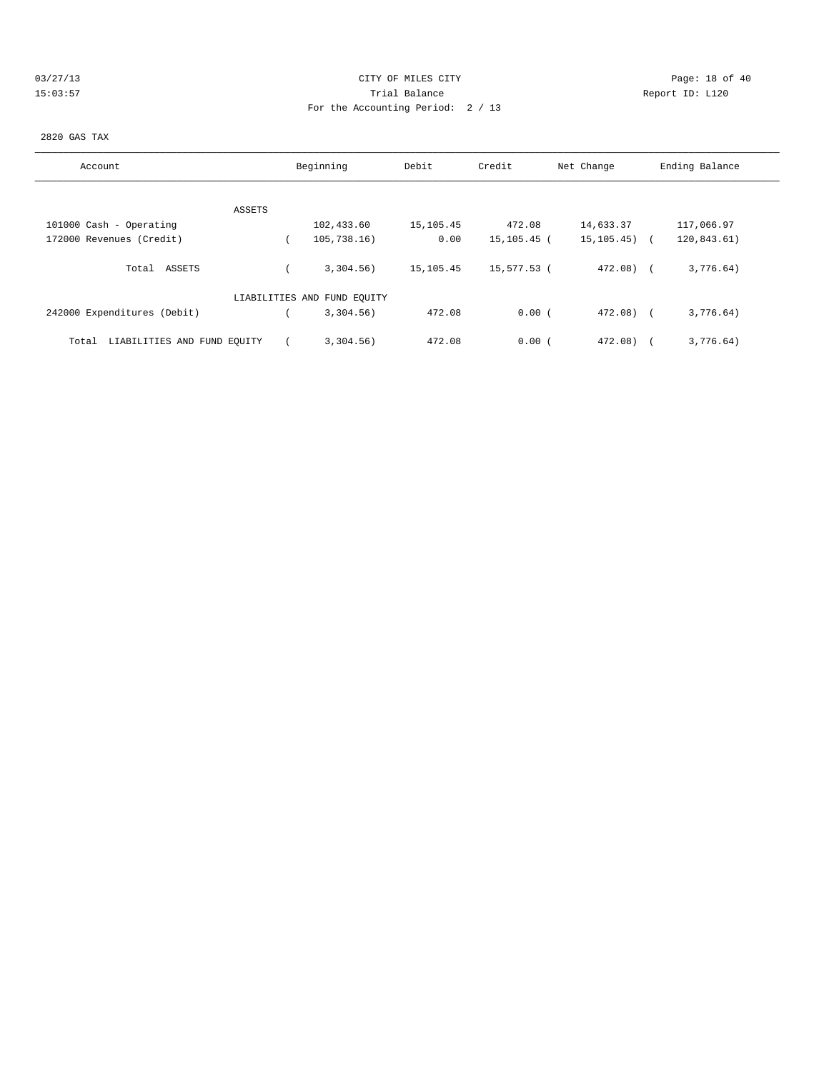# 03/27/13 Page: 18 of 40 15:03:57 Trial Balance Report ID: L120 For the Accounting Period: 2 / 13

#### 2820 GAS TAX

| Account                              | Beginning                   | Debit     | Credit      | Net Change | Ending Balance |
|--------------------------------------|-----------------------------|-----------|-------------|------------|----------------|
|                                      |                             |           |             |            |                |
| ASSETS                               |                             |           |             |            |                |
| 101000 Cash - Operating              | 102,433.60                  | 15,105.45 | 472.08      | 14,633.37  | 117,066.97     |
| 172000 Revenues (Credit)             | 105, 738.16)                | 0.00      | 15,105.45 ( | 15,105.45) | 120,843.61)    |
| ASSETS<br>Total                      | 3,304.56)                   | 15,105.45 | 15,577.53 ( | $472.08$ ( | 3,776.64)      |
|                                      | LIABILITIES AND FUND EQUITY |           |             |            |                |
| 242000 Expenditures (Debit)          | $3,304.56$ )                | 472.08    | 0.00(       | $472.08$ ( | 3,776.64)      |
| LIABILITIES AND FUND EQUITY<br>Total | 3,304.56)                   | 472.08    | 0.00(       | 472.08)    | 3,776.64)      |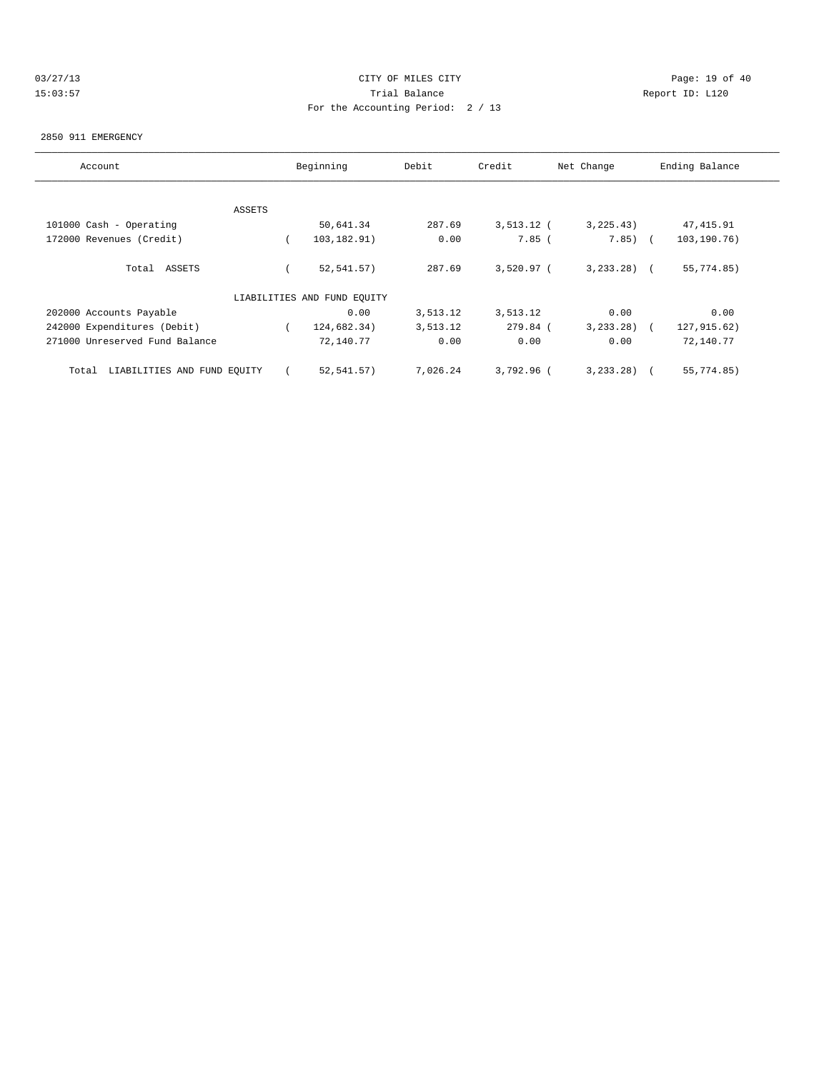# 03/27/13 Page: 19 of 40 15:03:57 Trial Balance Report ID: L120 For the Accounting Period: 2 / 13

#### 2850 911 EMERGENCY

| Account                              | Beginning |                             | Debit    | Credit       | Net Change     | Ending Balance |
|--------------------------------------|-----------|-----------------------------|----------|--------------|----------------|----------------|
|                                      |           |                             |          |              |                |                |
|                                      | ASSETS    |                             |          |              |                |                |
| 101000 Cash - Operating              |           | 50,641.34                   | 287.69   | $3,513.12$ ( | 3, 225.43)     | 47, 415.91     |
| 172000 Revenues (Credit)             |           | 103, 182.91)                | 0.00     | $7.85$ (     | $7.85)$ (      | 103,190.76)    |
| Total ASSETS                         |           | 52, 541.57)                 | 287.69   | $3,520.97$ ( | $3, 233, 28$ ( | 55,774.85)     |
|                                      |           | LIABILITIES AND FUND EQUITY |          |              |                |                |
| 202000 Accounts Payable              |           | 0.00                        | 3,513.12 | 3,513.12     | 0.00           | 0.00           |
| 242000 Expenditures (Debit)          |           | 124,682.34)                 | 3,513.12 | 279.84 (     | 3, 233, 28)    | 127,915.62)    |
| 271000 Unreserved Fund Balance       |           | 72,140.77                   | 0.00     | 0.00         | 0.00           | 72,140.77      |
| LIABILITIES AND FUND EQUITY<br>Total |           | 52,541.57)                  | 7,026.24 | 3,792.96 (   | 3, 233, 28)    | 55,774.85)     |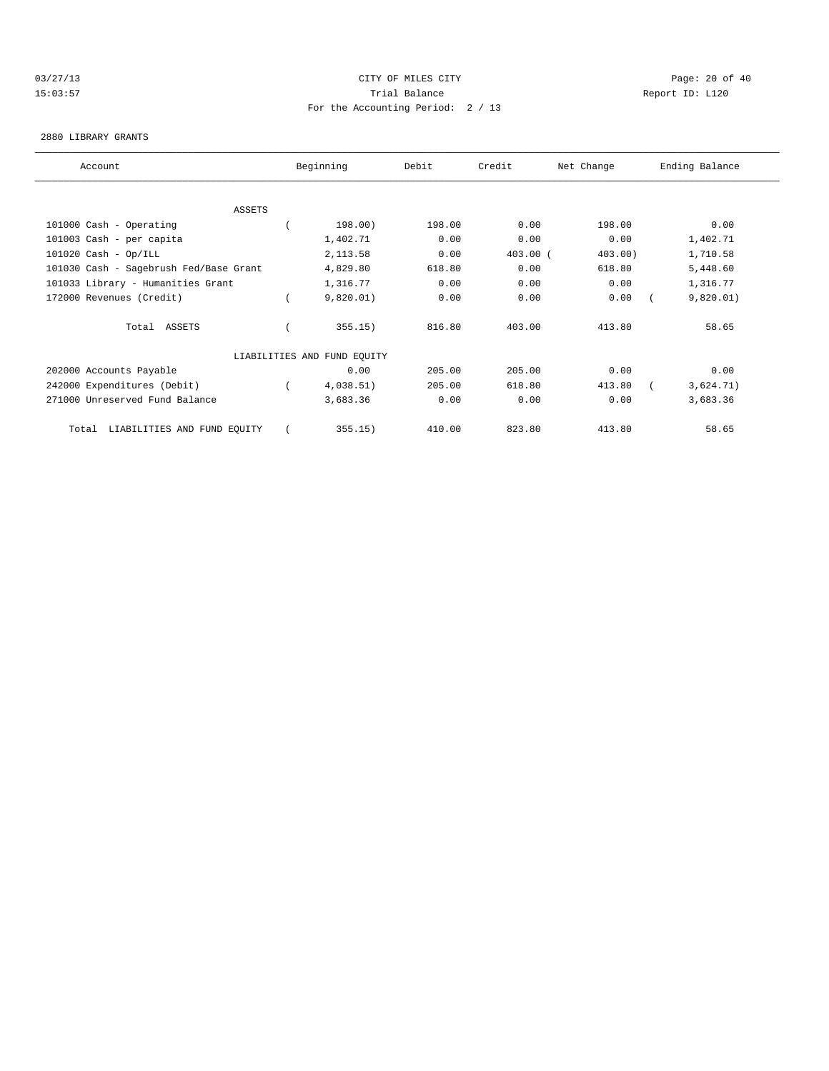# 03/27/13 Page: 20 of 40 15:03:57 Trial Balance Report ID: L120 For the Accounting Period: 2 / 13

#### 2880 LIBRARY GRANTS

| Account                                | Beginning                   | Debit  | Credit     | Net Change | Ending Balance |  |
|----------------------------------------|-----------------------------|--------|------------|------------|----------------|--|
|                                        |                             |        |            |            |                |  |
| <b>ASSETS</b>                          |                             |        |            |            |                |  |
| 101000 Cash - Operating                | 198.00)                     | 198.00 | 0.00       | 198.00     | 0.00           |  |
| 101003 Cash - per capita               | 1,402.71                    | 0.00   | 0.00       | 0.00       | 1,402.71       |  |
| $101020$ Cash - Op/ILL                 | 2,113.58                    | 0.00   | $403.00$ ( | $403.00$ ) | 1,710.58       |  |
| 101030 Cash - Sagebrush Fed/Base Grant | 4,829.80                    | 618.80 | 0.00       | 618.80     | 5,448.60       |  |
| 101033 Library - Humanities Grant      | 1,316.77                    | 0.00   | 0.00       | 0.00       | 1,316.77       |  |
| 172000 Revenues (Credit)               | 9,820.01)                   | 0.00   | 0.00       | 0.00       | 9,820.01)      |  |
| Total ASSETS                           | 355.15)                     | 816.80 | 403.00     | 413.80     | 58.65          |  |
|                                        | LIABILITIES AND FUND EQUITY |        |            |            |                |  |
| 202000 Accounts Payable                | 0.00                        | 205.00 | 205.00     | 0.00       | 0.00           |  |
| 242000 Expenditures (Debit)            | 4,038.51)                   | 205.00 | 618.80     | 413.80     | 3,624.71)      |  |
| 271000 Unreserved Fund Balance         | 3,683.36                    | 0.00   | 0.00       | 0.00       | 3,683.36       |  |
| LIABILITIES AND FUND EQUITY<br>Total   | 355.15)                     | 410.00 | 823.80     | 413.80     | 58.65          |  |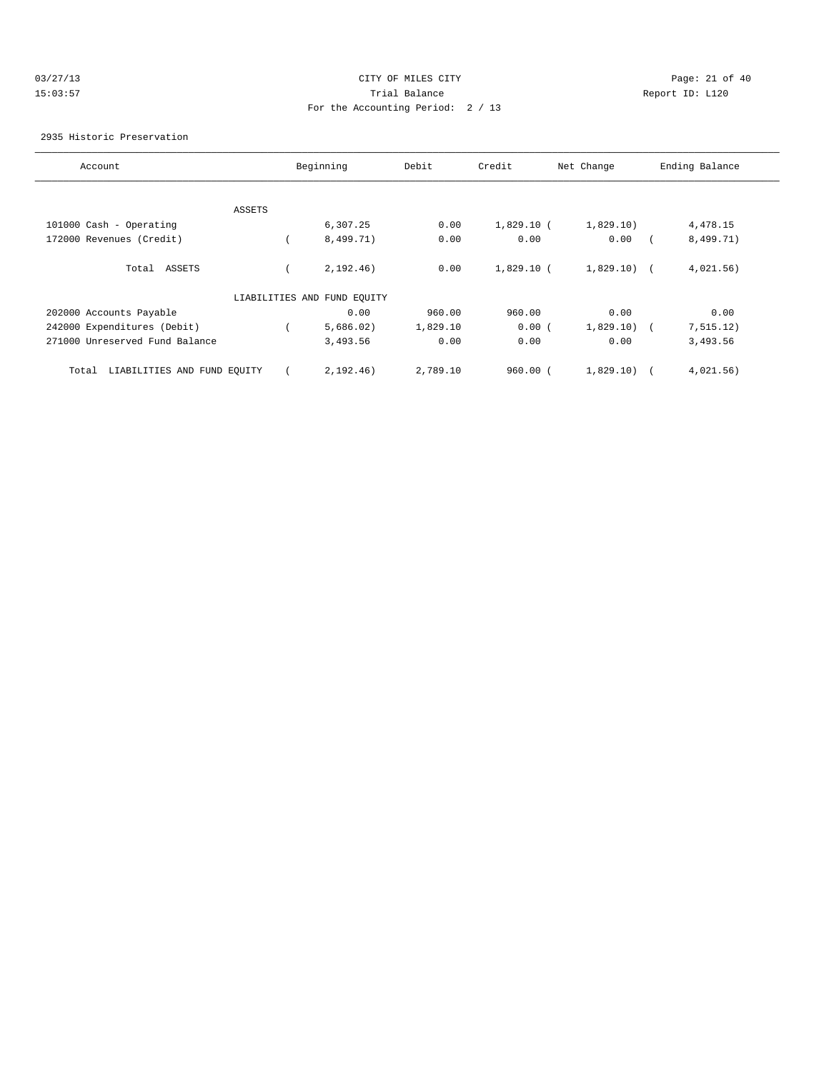# 03/27/13 Page: 21 of 40 15:03:57 Trial Balance Report ID: L120 For the Accounting Period: 2 / 13

### 2935 Historic Preservation

| Account                              |               | Beginning                   | Debit    | Credit       | Net Change   | Ending Balance |
|--------------------------------------|---------------|-----------------------------|----------|--------------|--------------|----------------|
|                                      |               |                             |          |              |              |                |
|                                      | <b>ASSETS</b> |                             |          |              |              |                |
| 101000 Cash - Operating              |               | 6,307.25                    | 0.00     | $1,829.10$ ( | 1,829.10)    | 4,478.15       |
| 172000 Revenues (Credit)             |               | 8,499.71)                   | 0.00     | 0.00         | 0.00         | 8,499.71)      |
| Total ASSETS                         |               | 2,192.46)                   | 0.00     | $1,829.10$ ( | $1,829.10$ ( | 4,021.56)      |
|                                      |               | LIABILITIES AND FUND EQUITY |          |              |              |                |
| 202000 Accounts Payable              |               | 0.00                        | 960.00   | 960.00       | 0.00         | 0.00           |
| 242000 Expenditures (Debit)          |               | 5,686.02)                   | 1,829.10 | 0.00(        | 1,829.10)    | 7, 515.12)     |
| 271000 Unreserved Fund Balance       |               | 3,493.56                    | 0.00     | 0.00         | 0.00         | 3,493.56       |
| LIABILITIES AND FUND EQUITY<br>Total |               | 2,192.46)                   | 2,789.10 | $960.00$ $($ | 1,829.10)    | 4,021.56)      |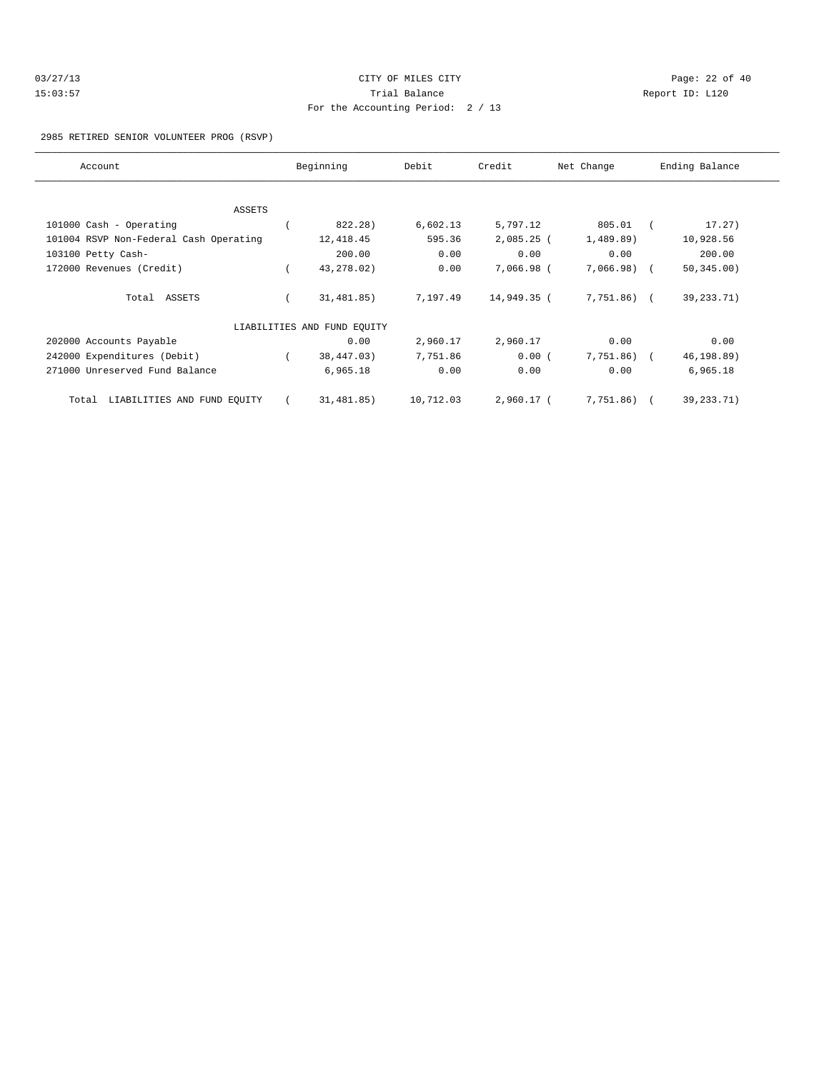| 03/27/13 | CITY OF MILES CITY                | Page: $22$ of $40$ |
|----------|-----------------------------------|--------------------|
| 15:03:57 | Trial Balance                     | Report ID: L120    |
|          | For the Accounting Period: 2 / 13 |                    |

2985 RETIRED SENIOR VOLUNTEER PROG (RSVP)

| Account                                | Beginning                   | Debit     | Credit       | Net Change   | Ending Balance |
|----------------------------------------|-----------------------------|-----------|--------------|--------------|----------------|
|                                        |                             |           |              |              |                |
| <b>ASSETS</b>                          |                             |           |              |              |                |
| 101000 Cash - Operating                | 822.28)                     | 6,602.13  | 5,797.12     | 805.01       | 17.27)         |
| 101004 RSVP Non-Federal Cash Operating | 12,418.45                   | 595.36    | $2,085.25$ ( | 1,489.89)    | 10,928.56      |
| 103100 Petty Cash-                     | 200.00                      | 0.00      | 0.00         | 0.00         | 200.00         |
| 172000 Revenues (Credit)               | 43, 278.02)                 | 0.00      | 7,066.98 (   | $7,066.98$ ( | 50, 345.00)    |
| Total ASSETS                           | 31,481.85)                  | 7,197.49  | 14,949.35 (  | 7,751.86) (  | 39, 233. 71)   |
|                                        | LIABILITIES AND FUND EQUITY |           |              |              |                |
| 202000 Accounts Payable                | 0.00                        | 2,960.17  | 2,960.17     | 0.00         | 0.00           |
| 242000 Expenditures (Debit)            | 38,447.03)                  | 7,751.86  | 0.00(        | 7,751.86) (  | 46,198.89)     |
| 271000 Unreserved Fund Balance         | 6,965.18                    | 0.00      | 0.00         | 0.00         | 6,965.18       |
| LIABILITIES AND FUND EQUITY<br>Total   | 31,481.85)                  | 10,712.03 | 2,960.17 (   | 7,751.86)    | 39, 233. 71)   |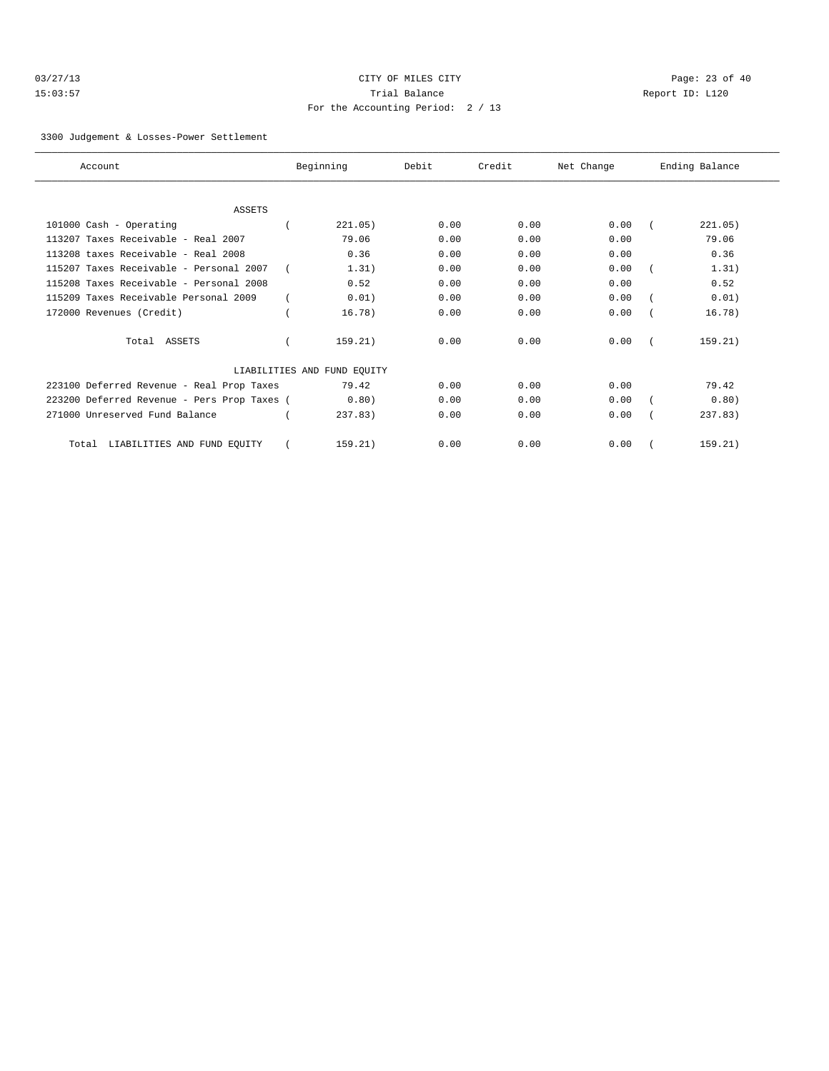| 03/27/13 |  |  |  |  |
|----------|--|--|--|--|
| 15:03:57 |  |  |  |  |

# CITY OF MILES CITY CONTROL CONTROL CONTROL CONTROL CONTROL PAGE: 23 of 40 15:03:57 Trial Balance Communications of the Report ID: L120 For the Accounting Period: 2 / 13

3300 Judgement & Losses-Power Settlement

| Account                                     | Beginning                   | Debit | Credit | Net Change | Ending Balance |
|---------------------------------------------|-----------------------------|-------|--------|------------|----------------|
|                                             |                             |       |        |            |                |
| <b>ASSETS</b>                               |                             |       |        |            |                |
| 101000 Cash - Operating                     | 221.05)                     | 0.00  | 0.00   | 0.00       | 221.05)        |
| 113207 Taxes Receivable - Real 2007         | 79.06                       | 0.00  | 0.00   | 0.00       | 79.06          |
| 113208 taxes Receivable - Real 2008         | 0.36                        | 0.00  | 0.00   | 0.00       | 0.36           |
| 115207 Taxes Receivable - Personal 2007     | 1.31)                       | 0.00  | 0.00   | 0.00       | 1.31)          |
| 115208 Taxes Receivable - Personal 2008     | 0.52                        | 0.00  | 0.00   | 0.00       | 0.52           |
| 115209 Taxes Receivable Personal 2009       | 0.01)                       | 0.00  | 0.00   | 0.00       | 0.01)          |
| 172000 Revenues (Credit)                    | 16.78)                      | 0.00  | 0.00   | 0.00       | 16.78)         |
| Total ASSETS                                | 159.21)                     | 0.00  | 0.00   | 0.00       | 159.21)        |
|                                             | LIABILITIES AND FUND EQUITY |       |        |            |                |
| 223100 Deferred Revenue - Real Prop Taxes   | 79.42                       | 0.00  | 0.00   | 0.00       | 79.42          |
| 223200 Deferred Revenue - Pers Prop Taxes ( | 0.80)                       | 0.00  | 0.00   | 0.00       | 0.80)          |
| 271000 Unreserved Fund Balance              | 237.83)                     | 0.00  | 0.00   | 0.00       | 237.83         |
| LIABILITIES AND FUND EQUITY<br>Total        | 159.21)                     | 0.00  | 0.00   | 0.00       | 159.21)        |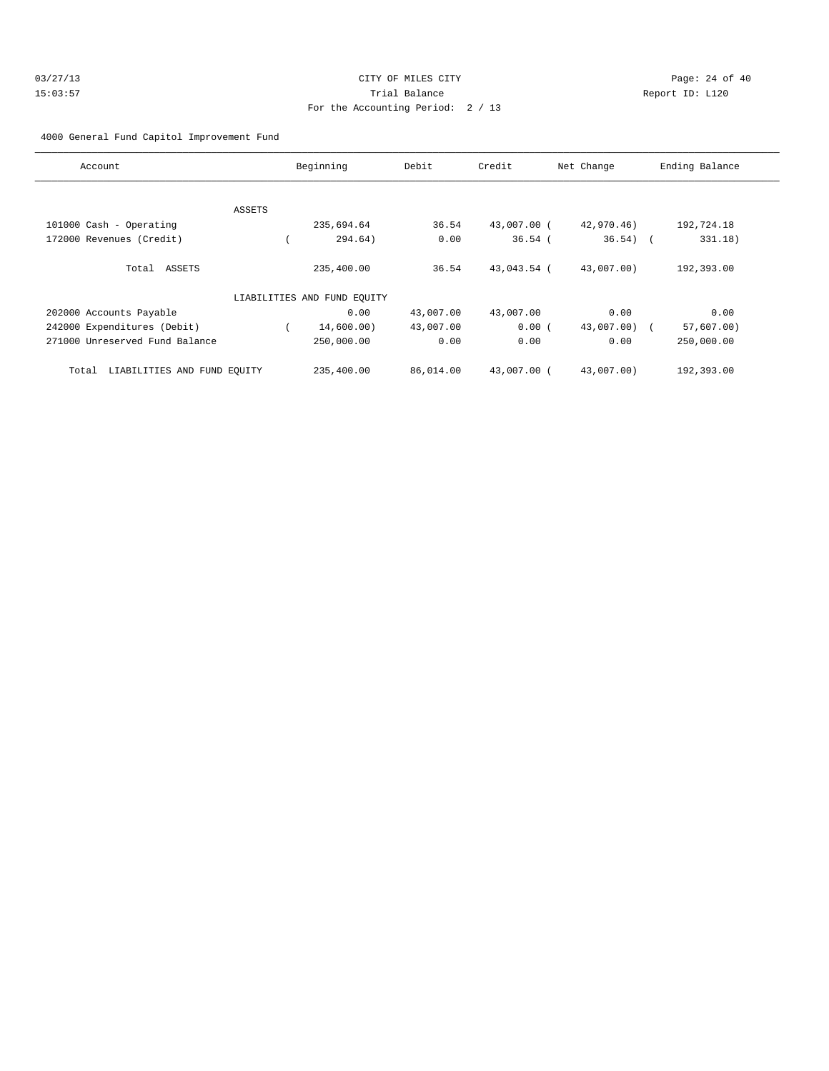### 4000 General Fund Capitol Improvement Fund

| Account                              |               | Beginning                   | Debit     | Credit      | Net Change | Ending Balance |
|--------------------------------------|---------------|-----------------------------|-----------|-------------|------------|----------------|
|                                      |               |                             |           |             |            |                |
|                                      | <b>ASSETS</b> |                             |           |             |            |                |
| 101000 Cash - Operating              |               | 235,694.64                  | 36.54     | 43,007.00 ( | 42,970.46) | 192,724.18     |
| 172000 Revenues (Credit)             |               | 294.64)                     | 0.00      | $36.54$ (   | $36.54)$ ( | 331.18)        |
| Total ASSETS                         |               | 235,400.00                  | 36.54     | 43,043.54 ( | 43,007.00) | 192,393.00     |
|                                      |               | LIABILITIES AND FUND EQUITY |           |             |            |                |
| 202000 Accounts Payable              |               | 0.00                        | 43,007.00 | 43,007.00   | 0.00       | 0.00           |
| 242000 Expenditures (Debit)          |               | 14,600.00)                  | 43,007.00 | 0.00(       | 43,007.00) | $57,607.00$ )  |
| 271000 Unreserved Fund Balance       |               | 250,000.00                  | 0.00      | 0.00        | 0.00       | 250,000.00     |
| LIABILITIES AND FUND EQUITY<br>Total |               | 235,400.00                  | 86,014.00 | 43,007.00 ( | 43,007.00) | 192,393.00     |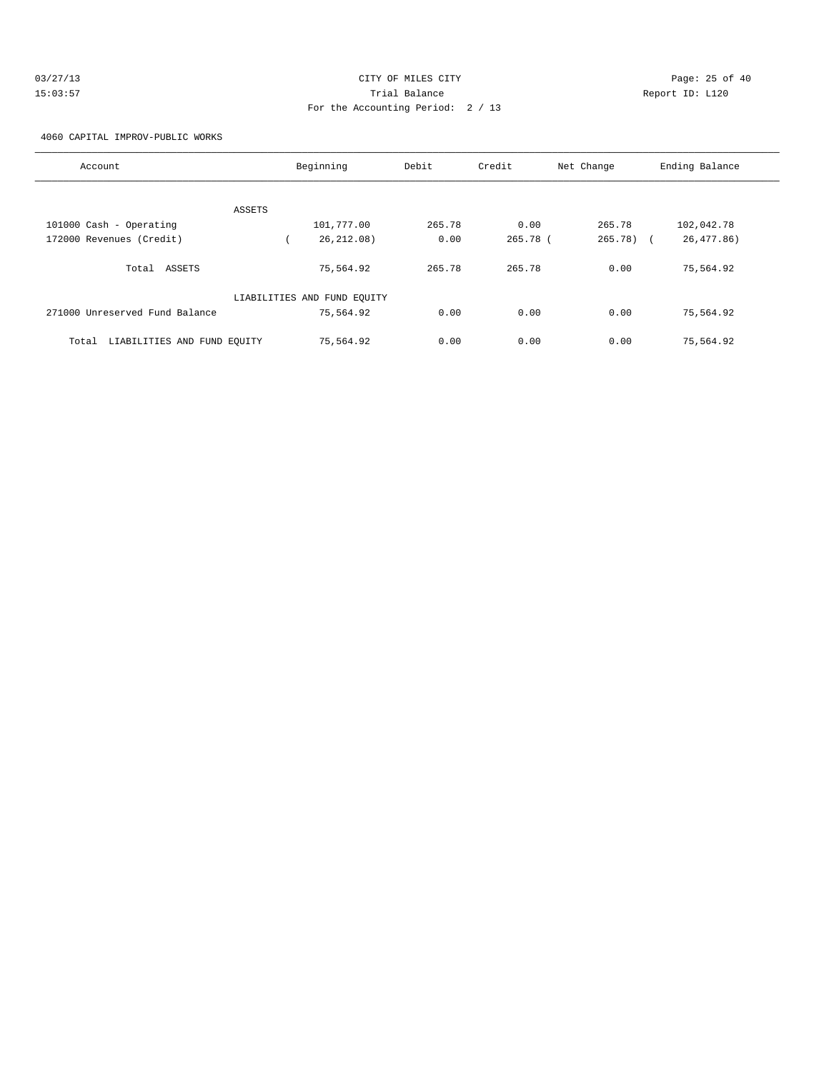| 03/27/13 | CITY OF MILES CITY                | Page: 25 of 40  |  |
|----------|-----------------------------------|-----------------|--|
| 15:03:57 | Trial Balance                     | Report ID: L120 |  |
|          | For the Accounting Period: 2 / 13 |                 |  |

4060 CAPITAL IMPROV-PUBLIC WORKS

| Account                              | Beginning                   | Debit  | Credit   | Net Change | Ending Balance |
|--------------------------------------|-----------------------------|--------|----------|------------|----------------|
|                                      |                             |        |          |            |                |
| ASSETS                               |                             |        |          |            |                |
| 101000 Cash - Operating              | 101,777.00                  | 265.78 | 0.00     | 265.78     | 102,042.78     |
| 172000 Revenues (Credit)             | 26, 212, 08)                | 0.00   | 265.78 ( | 265.78) (  | 26,477.86)     |
| Total ASSETS                         | 75,564.92                   | 265.78 | 265.78   | 0.00       | 75,564.92      |
|                                      | LIABILITIES AND FUND EQUITY |        |          |            |                |
| 271000 Unreserved Fund Balance       | 75,564.92                   | 0.00   | 0.00     | 0.00       | 75,564.92      |
| LIABILITIES AND FUND EQUITY<br>Total | 75,564.92                   | 0.00   | 0.00     | 0.00       | 75,564.92      |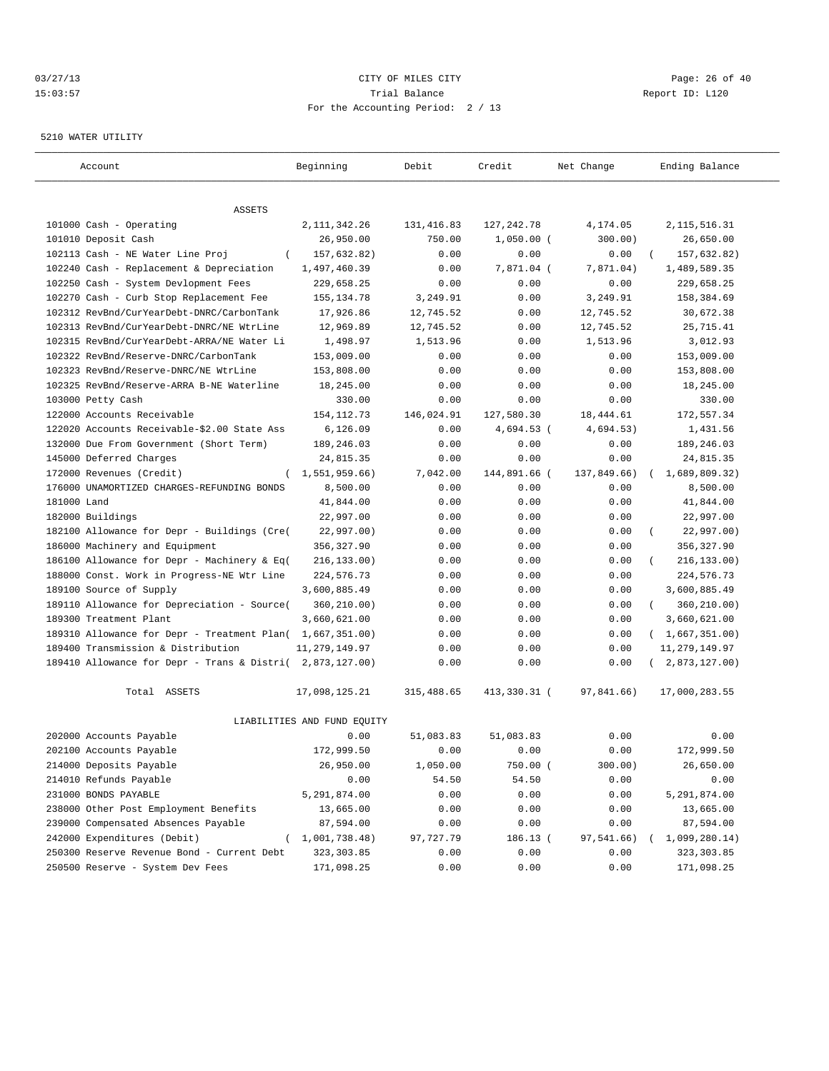## $O3/27/13$  Page: 26 of 40 15:03:57 Trial Balance Report ID: L120 For the Accounting Period: 2 / 13

#### 5210 WATER UTILITY

| Account                                      | Beginning                   | Debit      | Credit       | Net Change  | Ending Balance          |
|----------------------------------------------|-----------------------------|------------|--------------|-------------|-------------------------|
|                                              |                             |            |              |             |                         |
| ASSETS<br>101000 Cash - Operating            | 2, 111, 342.26              | 131,416.83 | 127, 242.78  | 4,174.05    | 2, 115, 516.31          |
| 101010 Deposit Cash                          | 26,950.00                   | 750.00     | $1,050.00$ ( | 300.00)     | 26,650.00               |
| 102113 Cash - NE Water Line Proj<br>$\left($ | 157,632.82)                 | 0.00       | 0.00         | 0.00        | 157,632.82)             |
| 102240 Cash - Replacement & Depreciation     | 1,497,460.39                | 0.00       | 7,871.04 (   | 7,871.04)   | 1,489,589.35            |
| 102250 Cash - System Devlopment Fees         | 229,658.25                  | 0.00       | 0.00         | 0.00        | 229,658.25              |
| 102270 Cash - Curb Stop Replacement Fee      | 155, 134.78                 | 3,249.91   | 0.00         | 3,249.91    | 158,384.69              |
| 102312 RevBnd/CurYearDebt-DNRC/CarbonTank    | 17,926.86                   | 12,745.52  | 0.00         | 12,745.52   | 30,672.38               |
| 102313 RevBnd/CurYearDebt-DNRC/NE WtrLine    | 12,969.89                   | 12,745.52  | 0.00         | 12,745.52   | 25,715.41               |
| 102315 RevBnd/CurYearDebt-ARRA/NE Water Li   | 1,498.97                    | 1,513.96   | 0.00         | 1,513.96    | 3,012.93                |
| 102322 RevBnd/Reserve-DNRC/CarbonTank        | 153,009.00                  | 0.00       | 0.00         | 0.00        | 153,009.00              |
| 102323 RevBnd/Reserve-DNRC/NE WtrLine        | 153,808.00                  | 0.00       | 0.00         | 0.00        | 153,808.00              |
| 102325 RevBnd/Reserve-ARRA B-NE Waterline    | 18,245.00                   | 0.00       | 0.00         | 0.00        | 18,245.00               |
| 103000 Petty Cash                            | 330.00                      | 0.00       | 0.00         | 0.00        | 330.00                  |
| 122000 Accounts Receivable                   | 154, 112.73                 | 146,024.91 | 127,580.30   | 18,444.61   | 172,557.34              |
| 122020 Accounts Receivable-\$2.00 State Ass  | 6,126.09                    | 0.00       | 4,694.53 (   | 4,694.53)   | 1,431.56                |
| 132000 Due From Government (Short Term)      | 189,246.03                  | 0.00       | 0.00         | 0.00        | 189,246.03              |
| 145000 Deferred Charges                      | 24,815.35                   | 0.00       | 0.00         | 0.00        | 24,815.35               |
| 172000 Revenues (Credit)<br>$\left($         | 1,551,959.66)               | 7,042.00   | 144,891.66 ( | 137,849.66) | 1,689,809.32)           |
| 176000 UNAMORTIZED CHARGES-REFUNDING BONDS   | 8,500.00                    | 0.00       | 0.00         | 0.00        | 8,500.00                |
| 181000 Land                                  | 41,844.00                   | 0.00       | 0.00         | 0.00        | 41,844.00               |
| 182000 Buildings                             | 22,997.00                   | 0.00       | 0.00         | 0.00        | 22,997.00               |
| 182100 Allowance for Depr - Buildings (Cre(  | 22,997.00)                  | 0.00       | 0.00         | 0.00        | 22,997.00)<br>$\left($  |
| 186000 Machinery and Equipment               | 356,327.90                  | 0.00       | 0.00         | 0.00        | 356, 327.90             |
| 186100 Allowance for Depr - Machinery & Eq(  | 216, 133.00)                | 0.00       | 0.00         | 0.00        | 216, 133.00)            |
| 188000 Const. Work in Progress-NE Wtr Line   | 224,576.73                  | 0.00       | 0.00         | 0.00        | 224,576.73              |
| 189100 Source of Supply                      | 3,600,885.49                | 0.00       | 0.00         | 0.00        | 3,600,885.49            |
| 189110 Allowance for Depreciation - Source(  | 360,210.00)                 | 0.00       | 0.00         | 0.00        | 360,210.00)<br>$\left($ |
| 189300 Treatment Plant                       | 3,660,621.00                | 0.00       | 0.00         | 0.00        | 3,660,621.00            |
| 189310 Allowance for Depr - Treatment Plan(  | 1,667,351.00)               | 0.00       | 0.00         | 0.00        | (1,667,351.00)          |
| 189400 Transmission & Distribution           | 11, 279, 149.97             | 0.00       | 0.00         | 0.00        | 11, 279, 149.97         |
| 189410 Allowance for Depr - Trans & Distri(  | 2,873,127.00)               | 0.00       | 0.00         | 0.00        | 2,873,127.00)           |
|                                              |                             |            |              |             |                         |
| Total ASSETS                                 | 17,098,125.21               | 315,488.65 | 413,330.31 ( | 97,841.66)  | 17,000,283.55           |
|                                              | LIABILITIES AND FUND EQUITY |            |              |             |                         |
| 202000 Accounts Payable                      | 0.00                        | 51,083.83  | 51,083.83    | 0.00        | 0.00                    |
| 202100 Accounts Payable                      | 172,999.50                  | 0.00       | 0.00         | 0.00        | 172,999.50              |
| 214000 Deposits Payable                      | 26,950.00                   | 1,050.00   | 750.00 (     | 300.00)     | 26,650.00               |
| 214010 Refunds Payable                       | 0.00                        | 54.50      | 54.50        | 0.00        | 0.00                    |
| 231000 BONDS PAYABLE                         | 5,291,874.00                | 0.00       | 0.00         | 0.00        | 5,291,874.00            |
| 238000 Other Post Employment Benefits        | 13,665.00                   | 0.00       | 0.00         | 0.00        | 13,665.00               |
| 239000 Compensated Absences Payable          | 87,594.00                   | 0.00       | 0.00         | 0.00        | 87,594.00               |
| 242000 Expenditures (Debit)                  | (1,001,738.48)              | 97,727.79  | 186.13 (     | 97,541.66)  | 1,099,280.14)           |
| 250300 Reserve Revenue Bond - Current Debt   | 323, 303.85                 | 0.00       | 0.00         | 0.00        | 323,303.85              |
| 250500 Reserve - System Dev Fees             | 171,098.25                  | 0.00       | 0.00         | 0.00        | 171,098.25              |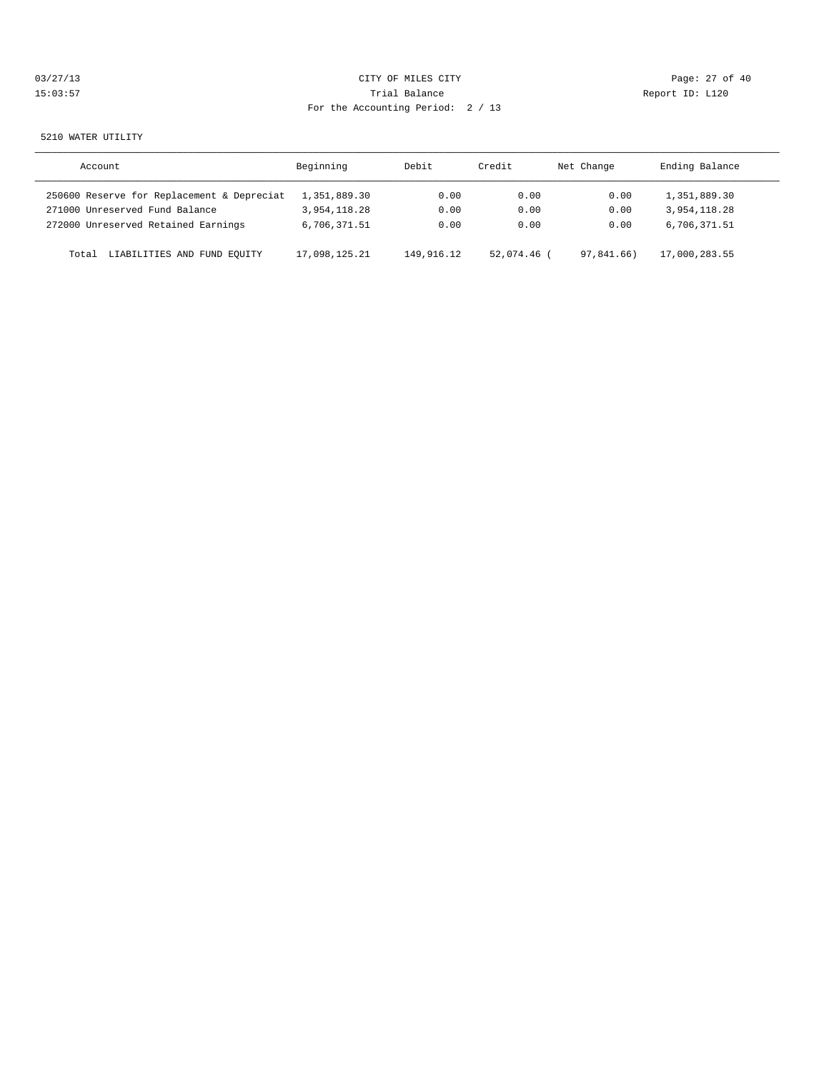| 03/27/13 | CITY OF MILES CITY                | Page: 27 of 40  |
|----------|-----------------------------------|-----------------|
| 15:03:57 | Trial Balance                     | Report ID: L120 |
|          | For the Accounting Period: 2 / 13 |                 |
|          |                                   |                 |

#### 5210 WATER UTILITY

| Account                                    | Beginning     | Debit      | Credit    | Net Change | Ending Balance |
|--------------------------------------------|---------------|------------|-----------|------------|----------------|
| 250600 Reserve for Replacement & Depreciat | 1,351,889.30  | 0.00       | 0.00      | 0.00       | 1,351,889.30   |
| 271000 Unreserved Fund Balance             | 3,954,118.28  | 0.00       | 0.00      | 0.00       | 3,954,118.28   |
| 272000 Unreserved Retained Earnings        | 6,706,371.51  | 0.00       | 0.00      | 0.00       | 6,706,371.51   |
| LIABILITIES AND FUND EQUITY<br>Total       | 17,098,125.21 | 149,916.12 | 52.074.46 | 97.841.66) | 17,000,283.55  |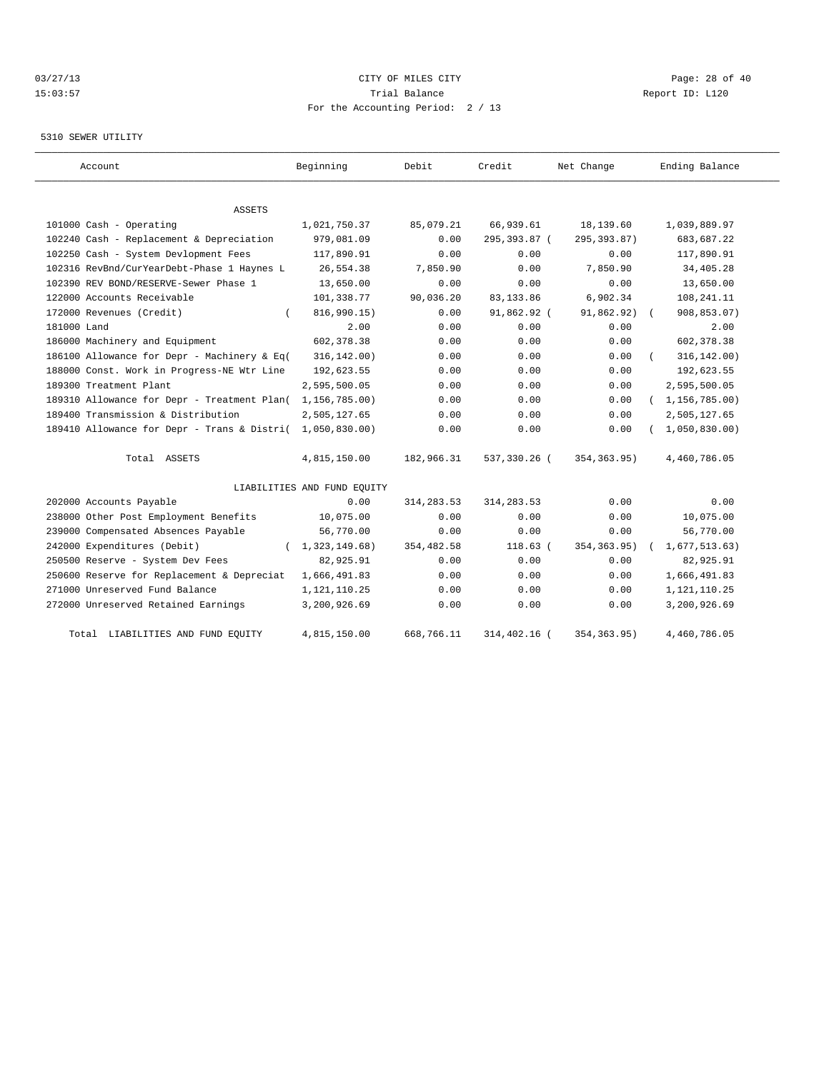# 03/27/13 Page: 28 of 40 15:03:57 Trial Balance Report ID: L120 For the Accounting Period: 2 / 13

### 5310 SEWER UTILITY

| Account                                     | Beginning                   | Debit       | Credit       | Net Change    | Ending Balance            |
|---------------------------------------------|-----------------------------|-------------|--------------|---------------|---------------------------|
| ASSETS                                      |                             |             |              |               |                           |
| 101000 Cash - Operating                     | 1,021,750.37                | 85,079.21   | 66,939.61    | 18,139.60     | 1,039,889.97              |
| 102240 Cash - Replacement & Depreciation    | 979,081.09                  | 0.00        | 295,393.87 ( | 295, 393.87)  | 683,687.22                |
| 102250 Cash - System Devlopment Fees        | 117,890.91                  | 0.00        | 0.00         | 0.00          | 117,890.91                |
| 102316 RevBnd/CurYearDebt-Phase 1 Haynes L  | 26,554.38                   | 7,850.90    | 0.00         | 7.850.90      | 34,405.28                 |
| 102390 REV BOND/RESERVE-Sewer Phase 1       | 13,650.00                   | 0.00        | 0.00         | 0.00          | 13,650.00                 |
| 122000 Accounts Receivable                  | 101,338.77                  | 90,036.20   | 83, 133.86   | 6,902.34      | 108,241.11                |
| 172000 Revenues (Credit)                    | 816,990.15)                 | 0.00        | 91,862.92 (  | 91,862.92)    | 908,853.07)<br>$\sqrt{2}$ |
| 181000 Land                                 | 2.00                        | 0.00        | 0.00         | 0.00          | 2.00                      |
| 186000 Machinery and Equipment              | 602, 378.38                 | 0.00        | 0.00         | 0.00          | 602, 378.38               |
| 186100 Allowance for Depr - Machinery & Eq( | 316, 142.00)                | 0.00        | 0.00         | 0.00          | 316, 142.00)              |
| 188000 Const. Work in Progress-NE Wtr Line  | 192,623.55                  | 0.00        | 0.00         | 0.00          | 192,623.55                |
| 189300 Treatment Plant                      | 2,595,500.05                | 0.00        | 0.00         | 0.00          | 2,595,500.05              |
| 189310 Allowance for Depr - Treatment Plan( | 1,156,785.00)               | 0.00        | 0.00         | 0.00          | (1, 156, 785.00)          |
| 189400 Transmission & Distribution          | 2,505,127.65                | 0.00        | 0.00         | 0.00          | 2,505,127.65              |
| 189410 Allowance for Depr - Trans & Distri( | 1,050,830.00                | 0.00        | 0.00         | 0.00          | 1,050,830.00              |
| Total ASSETS                                | 4,815,150.00                | 182,966.31  | 537,330.26 ( | 354,363.95)   | 4,460,786.05              |
|                                             | LIABILITIES AND FUND EQUITY |             |              |               |                           |
| 202000 Accounts Payable                     | 0.00                        | 314, 283.53 | 314, 283.53  | 0.00          | 0.00                      |
| 238000 Other Post Employment Benefits       | 10,075.00                   | 0.00        | 0.00         | 0.00          | 10,075.00                 |
| 239000 Compensated Absences Payable         | 56,770.00                   | 0.00        | 0.00         | 0.00          | 56,770.00                 |
| 242000 Expenditures (Debit)                 | 1,323,149.68)               | 354,482.58  | $118.63$ (   | 354, 363.95)  | 1,677,513.63)             |
| 250500 Reserve - System Dev Fees            | 82,925.91                   | 0.00        | 0.00         | 0.00          | 82,925.91                 |
| 250600 Reserve for Replacement & Depreciat  | 1,666,491.83                | 0.00        | 0.00         | 0.00          | 1,666,491.83              |
| 271000 Unreserved Fund Balance              | 1,121,110.25                | 0.00        | 0.00         | 0.00          | 1, 121, 110.25            |
| 272000 Unreserved Retained Earnings         | 3,200,926.69                | 0.00        | 0.00         | 0.00          | 3,200,926.69              |
| Total LIABILITIES AND FUND EOUITY           | 4,815,150.00                | 668,766.11  | 314,402.16 ( | 354, 363, 95) | 4,460,786.05              |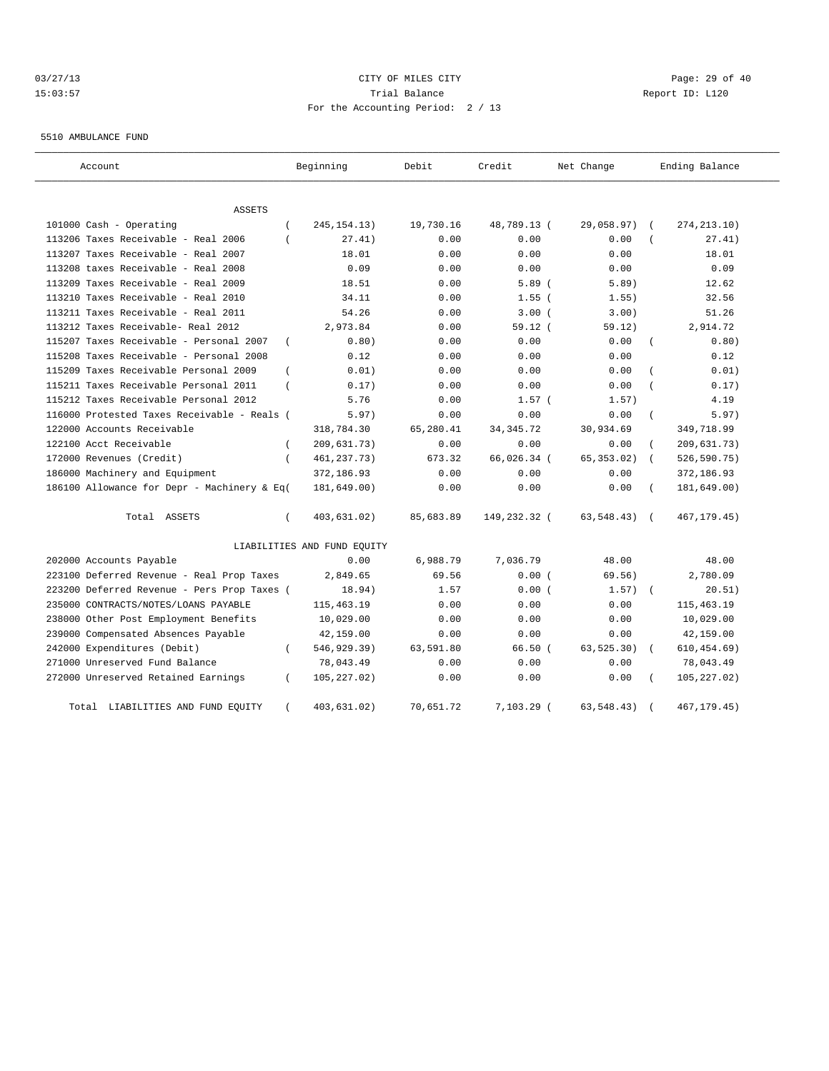# 03/27/13 Page: 29 of 40 15:03:57 Trial Balance Report ID: L120 For the Accounting Period: 2 / 13

5510 AMBULANCE FUND

| Account                                                   | Beginning                   | Debit     | Credit       | Net Change  | Ending Balance              |
|-----------------------------------------------------------|-----------------------------|-----------|--------------|-------------|-----------------------------|
| ASSETS                                                    |                             |           |              |             |                             |
| 101000 Cash - Operating                                   | 245, 154. 13)               | 19,730.16 | 48,789.13 (  | 29,058.97)  | 274, 213.10)                |
| 113206 Taxes Receivable - Real 2006                       | 27.41)                      | 0.00      | 0.00         | 0.00        | 27.41)                      |
| 113207 Taxes Receivable - Real 2007                       | 18.01                       | 0.00      | 0.00         | 0.00        | 18.01                       |
| 113208 taxes Receivable - Real 2008                       | 0.09                        | 0.00      | 0.00         | 0.00        | 0.09                        |
| 113209 Taxes Receivable - Real 2009                       | 18.51                       | 0.00      | 5.89(        | 5.89)       | 12.62                       |
| 113210 Taxes Receivable - Real 2010                       | 34.11                       | 0.00      | $1.55$ $($   | 1.55)       | 32.56                       |
| 113211 Taxes Receivable - Real 2011                       | 54.26                       | 0.00      | 3.00(        | 3.00)       | 51.26                       |
| 113212 Taxes Receivable- Real 2012                        | 2,973.84                    | 0.00      | 59.12(       | 59.12)      | 2,914.72                    |
| 115207 Taxes Receivable - Personal 2007<br>$\overline{ }$ | 0.80)                       | 0.00      | 0.00         | 0.00        | 0.80)                       |
| 115208 Taxes Receivable - Personal 2008                   | 0.12                        | 0.00      | 0.00         | 0.00        | 0.12                        |
| 115209 Taxes Receivable Personal 2009                     | 0.01)                       | 0.00      | 0.00         | 0.00        | 0.01)                       |
| 115211 Taxes Receivable Personal 2011                     | 0.17)                       | 0.00      | 0.00         | 0.00        | 0.17)                       |
| 115212 Taxes Receivable Personal 2012                     | 5.76                        | 0.00      | $1.57$ (     | 1.57)       | 4.19                        |
| 116000 Protested Taxes Receivable - Reals (               | 5.97)                       | 0.00      | 0.00         | 0.00        | 5.97)                       |
| 122000 Accounts Receivable                                | 318,784.30                  | 65,280.41 | 34, 345. 72  | 30,934.69   | 349,718.99                  |
| 122100 Acct Receivable                                    | 209,631.73)                 | 0.00      | 0.00         | 0.00        | 209,631.73)                 |
| 172000 Revenues (Credit)<br>$\overline{ }$                | 461, 237. 73)               | 673.32    | 66,026.34 (  | 65, 353.02) | 526,590.75)                 |
| 186000 Machinery and Equipment                            | 372,186.93                  | 0.00      | 0.00         | 0.00        | 372,186.93                  |
| 186100 Allowance for Depr - Machinery & Eq(               | 181,649.00)                 | 0.00      | 0.00         | 0.00        | 181,649.00)                 |
| Total ASSETS<br>$\left($                                  | 403,631.02)                 | 85,683.89 | 149,232.32 ( | 63,548.43)  | 467, 179. 45)<br>$\sqrt{2}$ |
|                                                           | LIABILITIES AND FUND EQUITY |           |              |             |                             |
| 202000 Accounts Payable                                   | 0.00                        | 6,988.79  | 7,036.79     | 48.00       | 48.00                       |
| 223100 Deferred Revenue - Real Prop Taxes                 | 2,849.65                    | 69.56     | 0.00(        | 69.56)      | 2,780.09                    |
| 223200 Deferred Revenue - Pers Prop Taxes (               | 18.94)                      | 1.57      | 0.00(        | 1.57)       | 20.51)                      |
| 235000 CONTRACTS/NOTES/LOANS PAYABLE                      | 115, 463. 19                | 0.00      | 0.00         | 0.00        | 115, 463.19                 |
| 238000 Other Post Employment Benefits                     | 10,029.00                   | 0.00      | 0.00         | 0.00        | 10,029.00                   |
| 239000 Compensated Absences Payable                       | 42,159.00                   | 0.00      | 0.00         | 0.00        | 42,159.00                   |
| 242000 Expenditures (Debit)                               | 546,929.39)                 | 63,591.80 | 66.50(       | 63, 525.30) | 610, 454.69)<br>$\sqrt{2}$  |
| 271000 Unreserved Fund Balance                            | 78,043.49                   | 0.00      | 0.00         | 0.00        | 78,043.49                   |
| 272000 Unreserved Retained Earnings<br>$\left($           | 105, 227.02)                | 0.00      | 0.00         | 0.00        | 105, 227.02)                |
| LIABILITIES AND FUND EQUITY<br>Total                      | 403,631.02)                 | 70,651.72 | $7,103.29$ ( | 63, 548.43) | 467, 179. 45)               |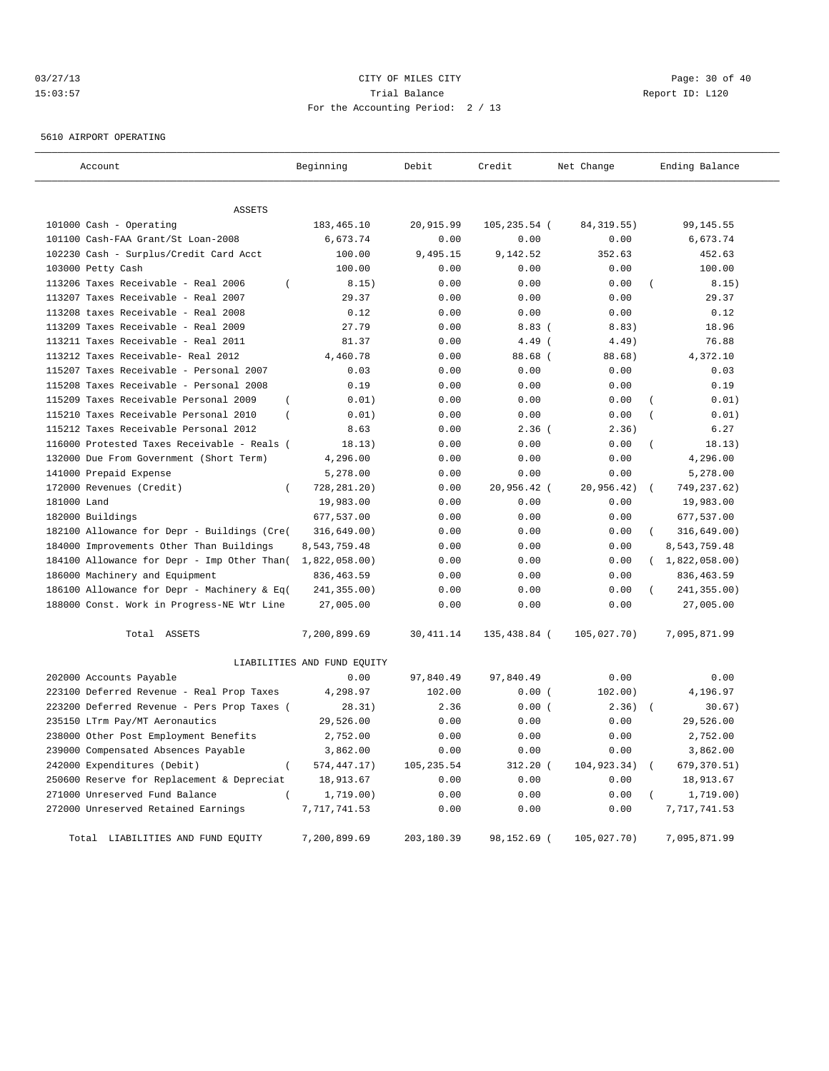# 03/27/13 Page: 30 of 40 15:03:57 Trial Balance Report ID: L120 For the Accounting Period: 2 / 13

5610 AIRPORT OPERATING

| Account                                                 | Beginning                   | Debit      | Credit       | Net Change  | Ending Balance           |
|---------------------------------------------------------|-----------------------------|------------|--------------|-------------|--------------------------|
|                                                         |                             |            |              |             |                          |
| <b>ASSETS</b>                                           |                             |            |              |             |                          |
| 101000 Cash - Operating                                 | 183,465.10                  | 20,915.99  | 105,235.54 ( | 84, 319.55) | 99,145.55                |
| 101100 Cash-FAA Grant/St Loan-2008                      | 6,673.74                    | 0.00       | 0.00         | 0.00        | 6,673.74                 |
| 102230 Cash - Surplus/Credit Card Acct                  | 100.00                      | 9,495.15   | 9,142.52     | 352.63      | 452.63                   |
| 103000 Petty Cash                                       | 100.00                      | 0.00       | 0.00         | 0.00        | 100.00                   |
| 113206 Taxes Receivable - Real 2006<br>$\overline{ }$   | 8.15)                       | 0.00       | 0.00         | 0.00        | 8.15)                    |
| 113207 Taxes Receivable - Real 2007                     | 29.37                       | 0.00       | 0.00         | 0.00        | 29.37                    |
| 113208 taxes Receivable - Real 2008                     | 0.12                        | 0.00       | 0.00         | 0.00        | 0.12                     |
| 113209 Taxes Receivable - Real 2009                     | 27.79                       | 0.00       | 8.83(        | 8.83)       | 18.96                    |
| 113211 Taxes Receivable - Real 2011                     | 81.37                       | 0.00       | $4.49$ (     | 4.49)       | 76.88                    |
| 113212 Taxes Receivable- Real 2012                      | 4,460.78                    | 0.00       | $88.68$ (    | 88.68)      | 4,372.10                 |
| 115207 Taxes Receivable - Personal 2007                 | 0.03                        | 0.00       | 0.00         | 0.00        | 0.03                     |
| 115208 Taxes Receivable - Personal 2008                 | 0.19                        | 0.00       | 0.00         | 0.00        | 0.19                     |
| 115209 Taxes Receivable Personal 2009<br>$\overline{ }$ | 0.01)                       | 0.00       | 0.00         | 0.00        | 0.01)<br>$\overline{(}$  |
| 115210 Taxes Receivable Personal 2010<br>$\left($       | 0.01)                       | 0.00       | 0.00         | 0.00        | 0.01)<br>$\overline{(}$  |
| 115212 Taxes Receivable Personal 2012                   | 8.63                        | 0.00       | $2.36$ (     | 2.36)       | 6.27                     |
| 116000 Protested Taxes Receivable - Reals (             | 18.13)                      | 0.00       | 0.00         | 0.00        | 18.13)                   |
| 132000 Due From Government (Short Term)                 | 4,296.00                    | 0.00       | 0.00         | 0.00        | 4,296.00                 |
| 141000 Prepaid Expense                                  | 5,278.00                    | 0.00       | 0.00         | 0.00        | 5,278.00                 |
| 172000 Revenues (Credit)<br>$\overline{ }$              | 728, 281. 20)               | 0.00       | 20,956.42 (  | 20,956.42)  | 749, 237.62)<br>$\left($ |
| 181000 Land                                             | 19,983.00                   | 0.00       | 0.00         | 0.00        | 19,983.00                |
| 182000 Buildings                                        | 677,537.00                  | 0.00       | 0.00         | 0.00        | 677,537.00               |
| 182100 Allowance for Depr - Buildings (Cre(             | 316, 649.00)                | 0.00       | 0.00         | 0.00        | 316, 649.00)             |
| 184000 Improvements Other Than Buildings                | 8,543,759.48                | 0.00       | 0.00         | 0.00        | 8,543,759.48             |
| 184100 Allowance for Depr - Imp Other Than(             | 1,822,058.00                | 0.00       | 0.00         | 0.00        | (1,822,058.00)           |
| 186000 Machinery and Equipment                          | 836, 463.59                 | 0.00       | 0.00         | 0.00        | 836, 463.59              |
| 186100 Allowance for Depr - Machinery & Eq(             | 241,355.00)                 | 0.00       | 0.00         | 0.00        | 241,355.00)              |
| 188000 Const. Work in Progress-NE Wtr Line              | 27,005.00                   | 0.00       | 0.00         | 0.00        | 27,005.00                |
| Total ASSETS                                            | 7,200,899.69                | 30, 411.14 | 135,438.84 ( | 105,027.70) | 7,095,871.99             |
|                                                         | LIABILITIES AND FUND EQUITY |            |              |             |                          |
| 202000 Accounts Payable                                 | 0.00                        | 97,840.49  | 97,840.49    | 0.00        | 0.00                     |
| 223100 Deferred Revenue - Real Prop Taxes               | 4,298.97                    | 102.00     | 0.00(        | 102.00)     | 4,196.97                 |
| 223200 Deferred Revenue - Pers Prop Taxes (             | 28.31)                      | 2.36       | 0.00(        | 2.36)       | 30.67)                   |
| 235150 LTrm Pay/MT Aeronautics                          | 29,526.00                   | 0.00       | 0.00         | 0.00        | 29,526.00                |
| 238000 Other Post Employment Benefits                   | 2,752.00                    | 0.00       | 0.00         | 0.00        | 2,752.00                 |
| 239000 Compensated Absences Payable                     | 3,862.00                    | 0.00       | 0.00         | 0.00        | 3,862.00                 |
| 242000 Expenditures (Debit)                             | 574, 447. 17)               | 105,235.54 | $312.20$ (   | 104,923.34) | 679,370.51)              |
| 250600 Reserve for Replacement & Depreciat              | 18,913.67                   | 0.00       | 0.00         | 0.00        | 18,913.67                |
| 271000 Unreserved Fund Balance<br>$\left($              | 1,719.00)                   | 0.00       | 0.00         | 0.00        | 1,719.00)                |
| 272000 Unreserved Retained Earnings                     | 7,717,741.53                | 0.00       | 0.00         | 0.00        | 7,717,741.53             |
| Total LIABILITIES AND FUND EQUITY                       | 7,200,899.69                | 203,180.39 | 98,152.69 (  | 105,027.70) | 7,095,871.99             |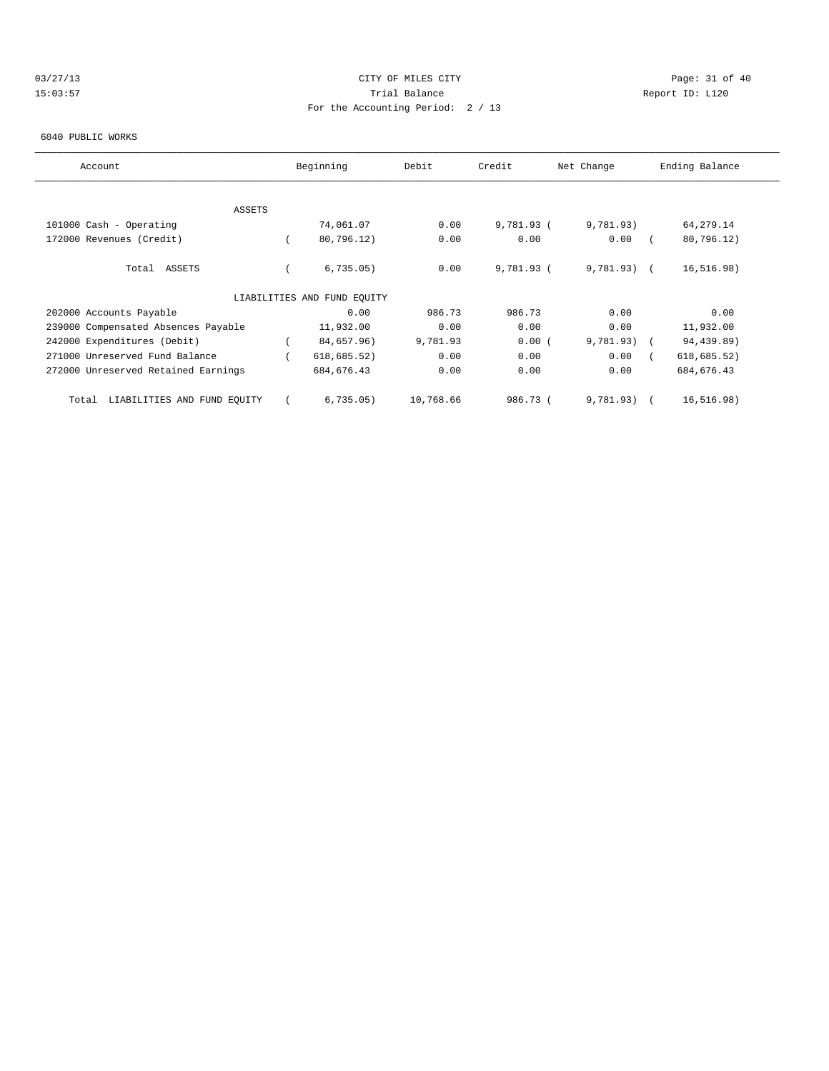# 03/27/13 Page: 31 of 40 15:03:57 Trial Balance Report ID: L120 For the Accounting Period: 2 / 13

#### 6040 PUBLIC WORKS

| Account                              | Beginning                   | Debit     | Credit       | Net Change    | Ending Balance |
|--------------------------------------|-----------------------------|-----------|--------------|---------------|----------------|
|                                      |                             |           |              |               |                |
|                                      |                             |           |              |               |                |
| ASSETS                               |                             |           |              |               |                |
| 101000 Cash - Operating              | 74,061.07                   | 0.00      | 9,781.93 (   | 9,781.93)     | 64,279.14      |
| 172000 Revenues (Credit)             | 80,796.12)                  | 0.00      | 0.00         | 0.00          | 80,796.12)     |
|                                      |                             |           |              |               |                |
| Total ASSETS                         | 6,735.05)                   | 0.00      | $9,781.93$ ( | $9,781.93$ (  | 16, 516.98)    |
|                                      |                             |           |              |               |                |
|                                      | LIABILITIES AND FUND EQUITY |           |              |               |                |
| 202000 Accounts Payable              | 0.00                        | 986.73    | 986.73       | 0.00          | 0.00           |
| 239000 Compensated Absences Payable  | 11,932.00                   | 0.00      | 0.00         | 0.00          | 11,932.00      |
| 242000 Expenditures (Debit)          | 84,657.96)                  | 9,781.93  | 0.00(        | $9,781.93)$ ( | 94,439.89)     |
| 271000 Unreserved Fund Balance       | 618, 685.52)                | 0.00      | 0.00         | 0.00          | 618, 685.52)   |
| 272000 Unreserved Retained Earnings  | 684, 676.43                 | 0.00      | 0.00         | 0.00          | 684, 676.43    |
|                                      |                             |           |              |               |                |
| LIABILITIES AND FUND EQUITY<br>Total | 6,735.05)                   | 10,768.66 | 986.73 (     | 9,781.93)     | 16, 516.98)    |
|                                      |                             |           |              |               |                |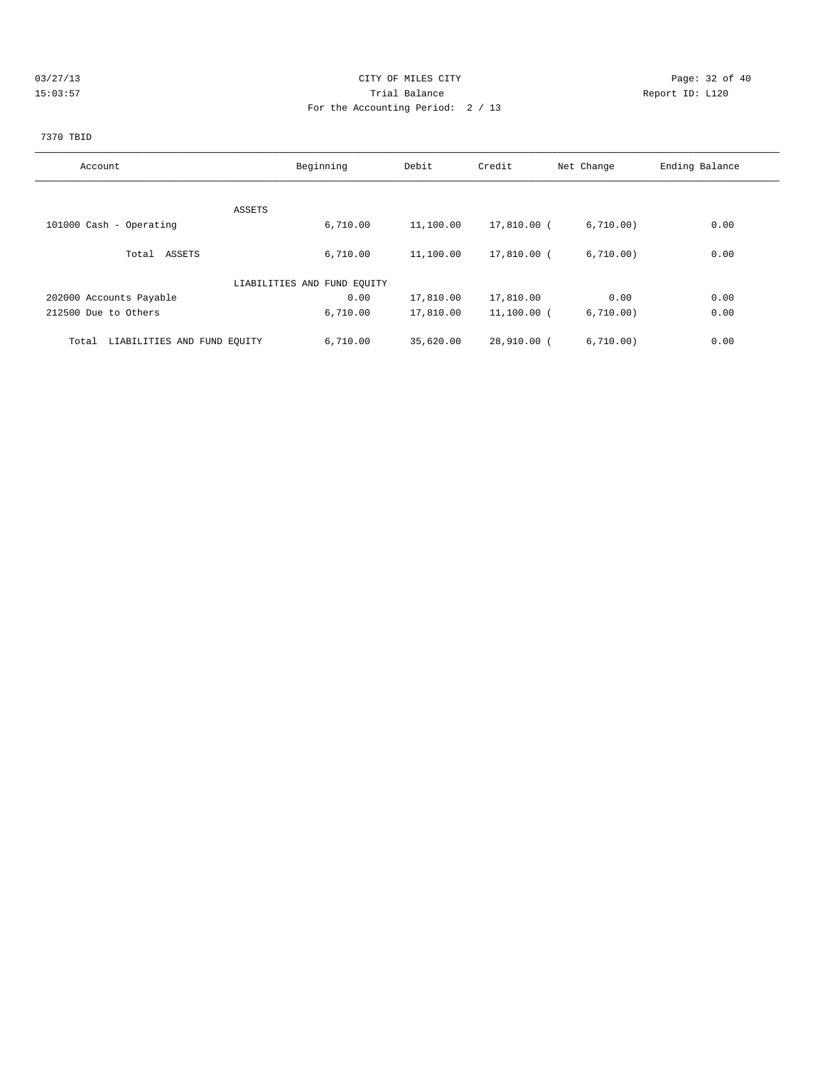# 03/27/13 Page: 32 of 40 15:03:57 Trial Balance Report ID: L120 For the Accounting Period: 2 / 13

# 7370 TBID

| Account                              | Beginning                   | Debit     | Credit        | Net Change | Ending Balance |
|--------------------------------------|-----------------------------|-----------|---------------|------------|----------------|
|                                      |                             |           |               |            |                |
| ASSETS                               |                             |           |               |            |                |
| 101000 Cash - Operating              | 6,710.00                    | 11,100.00 | 17,810.00 (   | 6,710.00)  | 0.00           |
|                                      |                             |           |               |            |                |
| Total ASSETS                         | 6.710.00                    | 11,100.00 | 17,810.00 (   | 6,710.00)  | 0.00           |
|                                      | LIABILITIES AND FUND EQUITY |           |               |            |                |
|                                      |                             |           |               |            |                |
| 202000 Accounts Payable              | 0.00                        | 17,810.00 | 17,810.00     | 0.00       | 0.00           |
| 212500 Due to Others                 | 6,710.00                    | 17,810.00 | $11,100.00$ ( | 6,710.00)  | 0.00           |
| LIABILITIES AND FUND EQUITY<br>Total | 6,710.00                    | 35,620.00 | 28,910.00 (   | 6,710.00)  | 0.00           |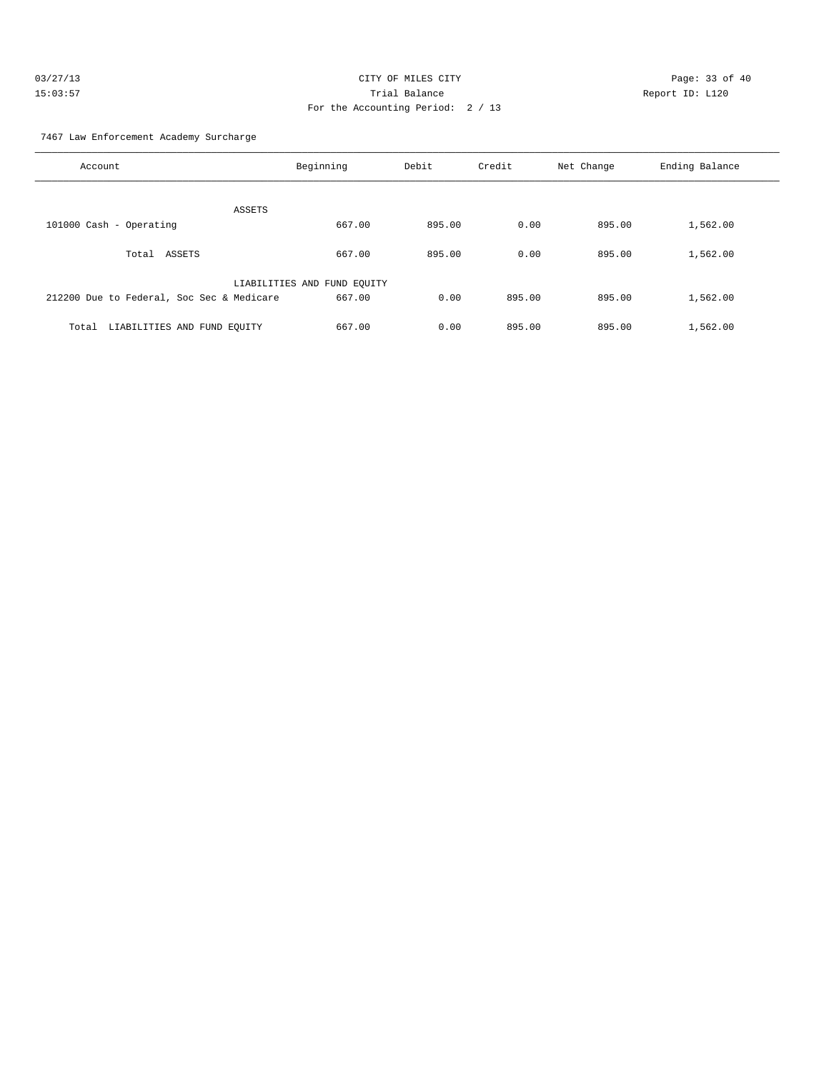| 03/27/13 | CITY OF MILES CITY                | Page: 33 of 40  |  |
|----------|-----------------------------------|-----------------|--|
| 15:03:57 | Trial Balance                     | Report ID: L120 |  |
|          | For the Accounting Period: 2 / 13 |                 |  |

7467 Law Enforcement Academy Surcharge

| Account                                   | Beginning                   | Debit  | Credit | Net Change | Ending Balance |
|-------------------------------------------|-----------------------------|--------|--------|------------|----------------|
| ASSETS                                    |                             |        |        |            |                |
| 101000 Cash - Operating                   | 667.00                      | 895.00 | 0.00   | 895.00     | 1,562.00       |
| ASSETS<br>Total                           | 667.00                      | 895.00 | 0.00   | 895.00     | 1,562.00       |
|                                           | LIABILITIES AND FUND EQUITY |        |        |            |                |
| 212200 Due to Federal, Soc Sec & Medicare | 667.00                      | 0.00   | 895.00 | 895.00     | 1,562.00       |
| LIABILITIES AND FUND EQUITY<br>Total      | 667.00                      | 0.00   | 895.00 | 895.00     | 1,562.00       |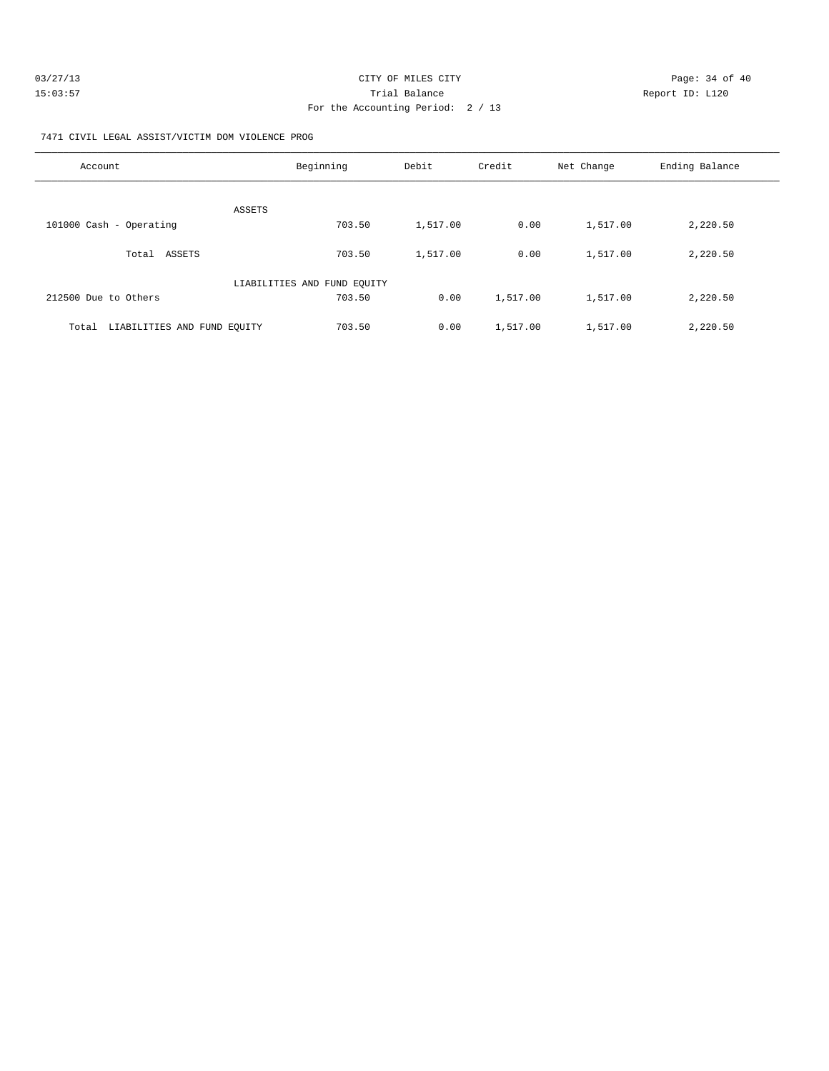| 03/27/13 | CITY OF MILES CITY                | Page: 34 of 40  |
|----------|-----------------------------------|-----------------|
| 15:03:57 | Trial Balance                     | Report ID: L120 |
|          | For the Accounting Period: 2 / 13 |                 |

7471 CIVIL LEGAL ASSIST/VICTIM DOM VIOLENCE PROG

| Account                              | Beginning                   | Debit    | Credit   | Net Change | Ending Balance |
|--------------------------------------|-----------------------------|----------|----------|------------|----------------|
| ASSETS                               |                             |          |          |            |                |
| 101000 Cash - Operating              | 703.50                      | 1,517.00 | 0.00     | 1,517.00   | 2,220.50       |
| ASSETS<br>Total                      | 703.50                      | 1,517.00 | 0.00     | 1,517.00   | 2,220.50       |
|                                      | LIABILITIES AND FUND EQUITY |          |          |            |                |
| 212500 Due to Others                 | 703.50                      | 0.00     | 1,517.00 | 1,517.00   | 2,220.50       |
| LIABILITIES AND FUND EOUITY<br>Total | 703.50                      | 0.00     | 1,517.00 | 1,517.00   | 2,220.50       |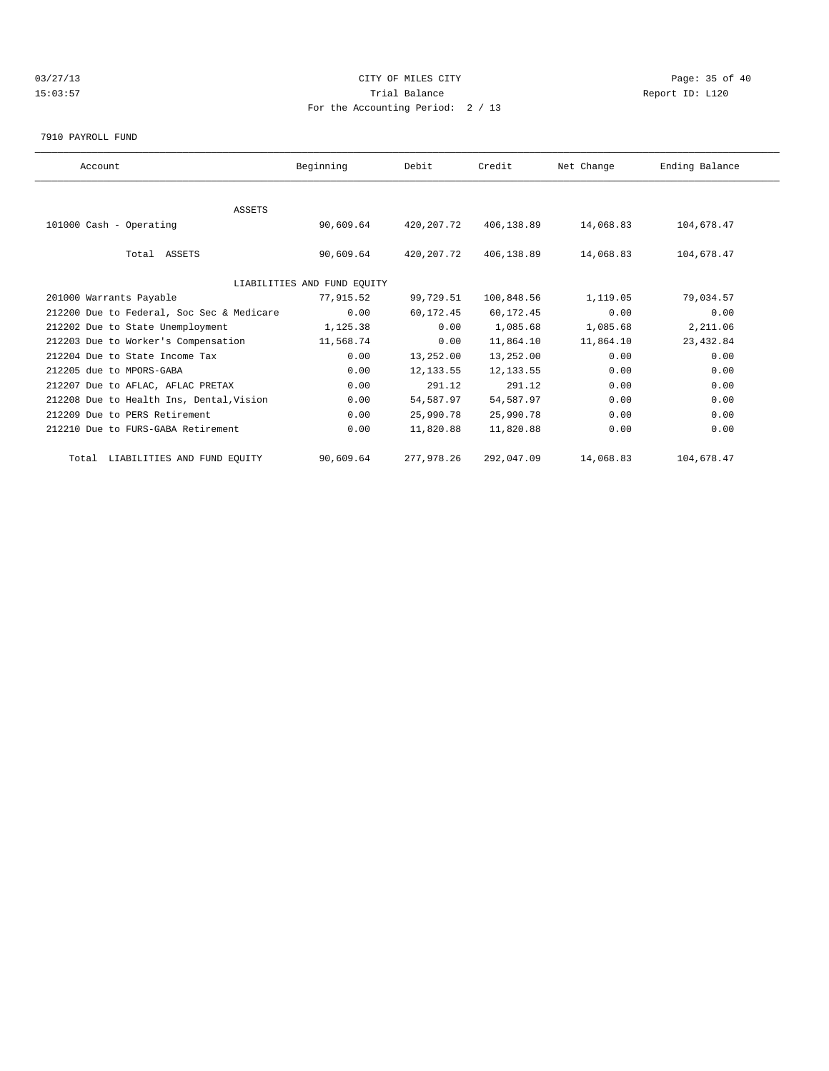# 03/27/13 Page: 35 of 40 15:03:57 Trial Balance Report ID: L120 For the Accounting Period: 2 / 13

#### 7910 PAYROLL FUND

| Account                                   | Beginning                   | Debit      | Credit     | Net Change | Ending Balance |  |
|-------------------------------------------|-----------------------------|------------|------------|------------|----------------|--|
|                                           |                             |            |            |            |                |  |
| <b>ASSETS</b>                             |                             |            |            |            |                |  |
| 101000 Cash - Operating                   | 90,609.64                   | 420,207.72 | 406,138.89 | 14,068.83  | 104,678.47     |  |
| Total ASSETS                              | 90,609.64                   | 420,207.72 | 406,138.89 | 14,068.83  | 104,678.47     |  |
|                                           | LIABILITIES AND FUND EQUITY |            |            |            |                |  |
| 201000 Warrants Payable                   | 77,915.52                   | 99,729.51  | 100,848.56 | 1,119.05   | 79,034.57      |  |
| 212200 Due to Federal, Soc Sec & Medicare | 0.00                        | 60,172.45  | 60,172.45  | 0.00       | 0.00           |  |
| 212202 Due to State Unemployment          | 1,125.38                    | 0.00       | 1,085.68   | 1,085.68   | 2,211.06       |  |
| 212203 Due to Worker's Compensation       | 11,568.74                   | 0.00       | 11,864.10  | 11,864.10  | 23, 432.84     |  |
| 212204 Due to State Income Tax            | 0.00                        | 13,252.00  | 13,252.00  | 0.00       | 0.00           |  |
| 212205 due to MPORS-GABA                  | 0.00                        | 12, 133.55 | 12, 133.55 | 0.00       | 0.00           |  |
| 212207 Due to AFLAC, AFLAC PRETAX         | 0.00                        | 291.12     | 291.12     | 0.00       | 0.00           |  |
| 212208 Due to Health Ins, Dental, Vision  | 0.00                        | 54,587.97  | 54,587.97  | 0.00       | 0.00           |  |
| 212209 Due to PERS Retirement             | 0.00                        | 25,990.78  | 25,990.78  | 0.00       | 0.00           |  |
| 212210 Due to FURS-GABA Retirement        | 0.00                        | 11,820.88  | 11,820.88  | 0.00       | 0.00           |  |
| Total LIABILITIES AND FUND EQUITY         | 90,609.64                   | 277,978.26 | 292,047.09 | 14,068.83  | 104,678.47     |  |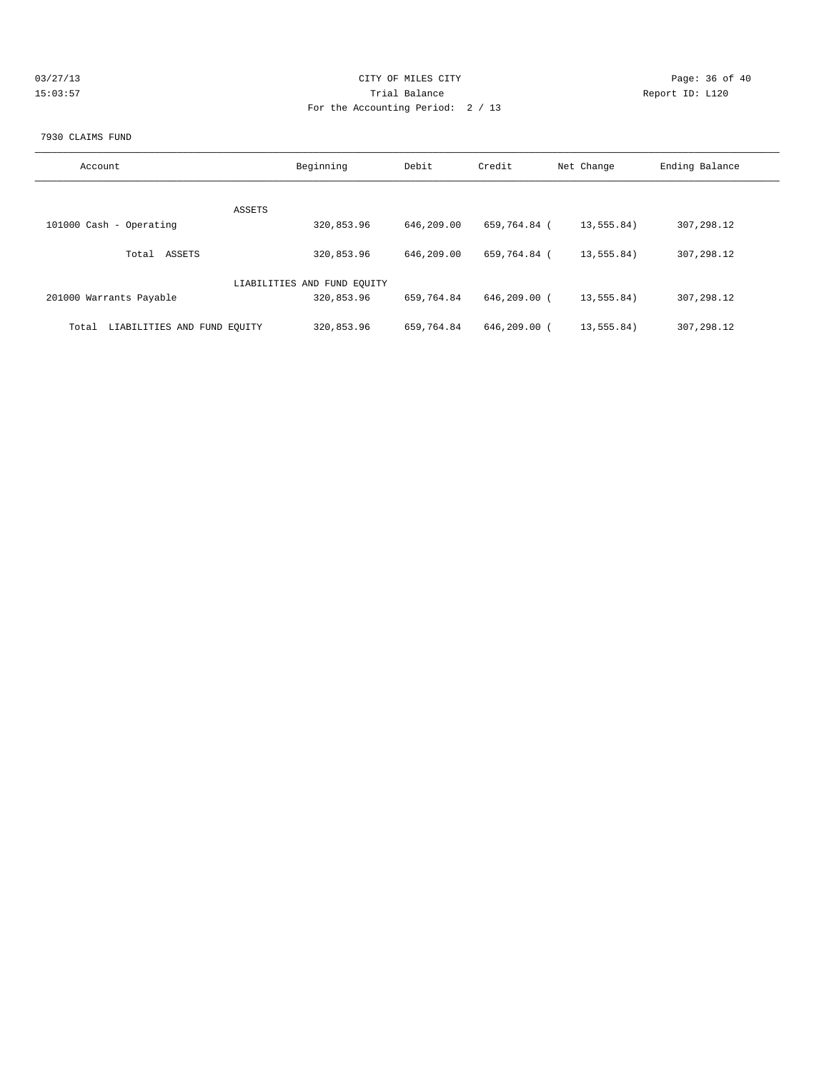| 03/27/13 | CITY OF MILES CITY                | Page: 36 of 40  |
|----------|-----------------------------------|-----------------|
| 15:03:57 | Trial Balance                     | Report ID: L120 |
|          | For the Accounting Period: 2 / 13 |                 |

### 7930 CLAIMS FUND

| Account                              | Beginning                   | Debit      | Credit           | Net Change   | Ending Balance |
|--------------------------------------|-----------------------------|------------|------------------|--------------|----------------|
| ASSETS                               |                             |            |                  |              |                |
| 101000 Cash - Operating              | 320,853.96                  | 646,209.00 | 659,764.84 (     | 13,555.84)   | 307,298.12     |
| ASSETS<br>Total                      | 320,853.96                  | 646,209.00 | 659,764.84 (     | 13, 555, 84) | 307,298.12     |
|                                      | LIABILITIES AND FUND EOUITY |            |                  |              |                |
| 201000 Warrants Payable              | 320,853.96                  | 659,764.84 | 646,209.00 (     | 13,555.84)   | 307,298.12     |
| LIABILITIES AND FUND EQUITY<br>Total | 320,853.96                  | 659,764.84 | $646, 209, 00$ ( | 13,555.84)   | 307,298.12     |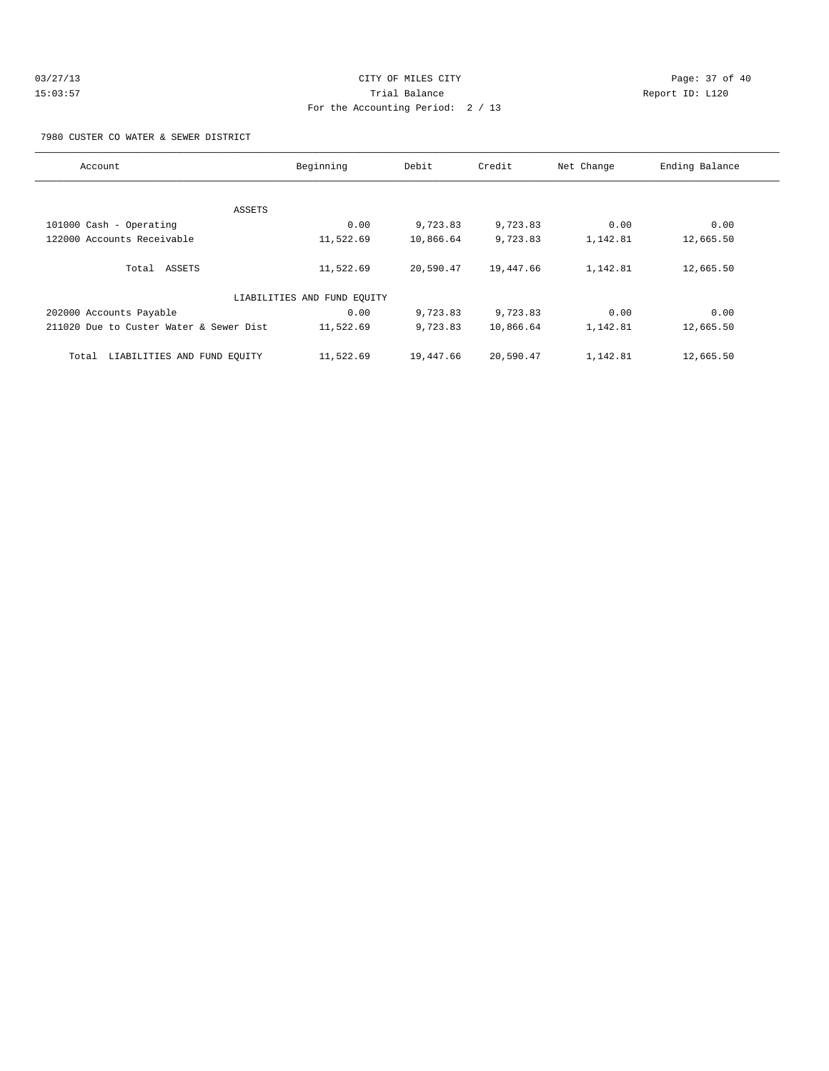| 03/27/13 | CITY OF MILES CITY                | Page: 37 of 40  |  |
|----------|-----------------------------------|-----------------|--|
| 15:03:57 | Trial Balance                     | Report ID: L120 |  |
|          | For the Accounting Period: 2 / 13 |                 |  |

7980 CUSTER CO WATER & SEWER DISTRICT

| Account                                 | Beginning                   | Debit     | Credit    | Net Change | Ending Balance |
|-----------------------------------------|-----------------------------|-----------|-----------|------------|----------------|
|                                         |                             |           |           |            |                |
|                                         | ASSETS                      |           |           |            |                |
| 101000 Cash - Operating                 | 0.00                        | 9,723.83  | 9,723.83  | 0.00       | 0.00           |
| 122000 Accounts Receivable              | 11,522.69                   | 10,866.64 | 9,723.83  | 1,142.81   | 12,665.50      |
|                                         |                             |           |           |            |                |
| Total ASSETS                            | 11,522.69                   | 20,590.47 | 19,447.66 | 1,142.81   | 12,665.50      |
|                                         |                             |           |           |            |                |
|                                         | LIABILITIES AND FUND EQUITY |           |           |            |                |
| 202000 Accounts Payable                 | 0.00                        | 9,723.83  | 9,723.83  | 0.00       | 0.00           |
| 211020 Due to Custer Water & Sewer Dist | 11,522.69                   | 9,723.83  | 10,866.64 | 1,142.81   | 12,665.50      |
|                                         |                             |           |           |            |                |
| LIABILITIES AND FUND EQUITY<br>Total    | 11,522.69                   | 19,447.66 | 20,590.47 | 1,142.81   | 12,665.50      |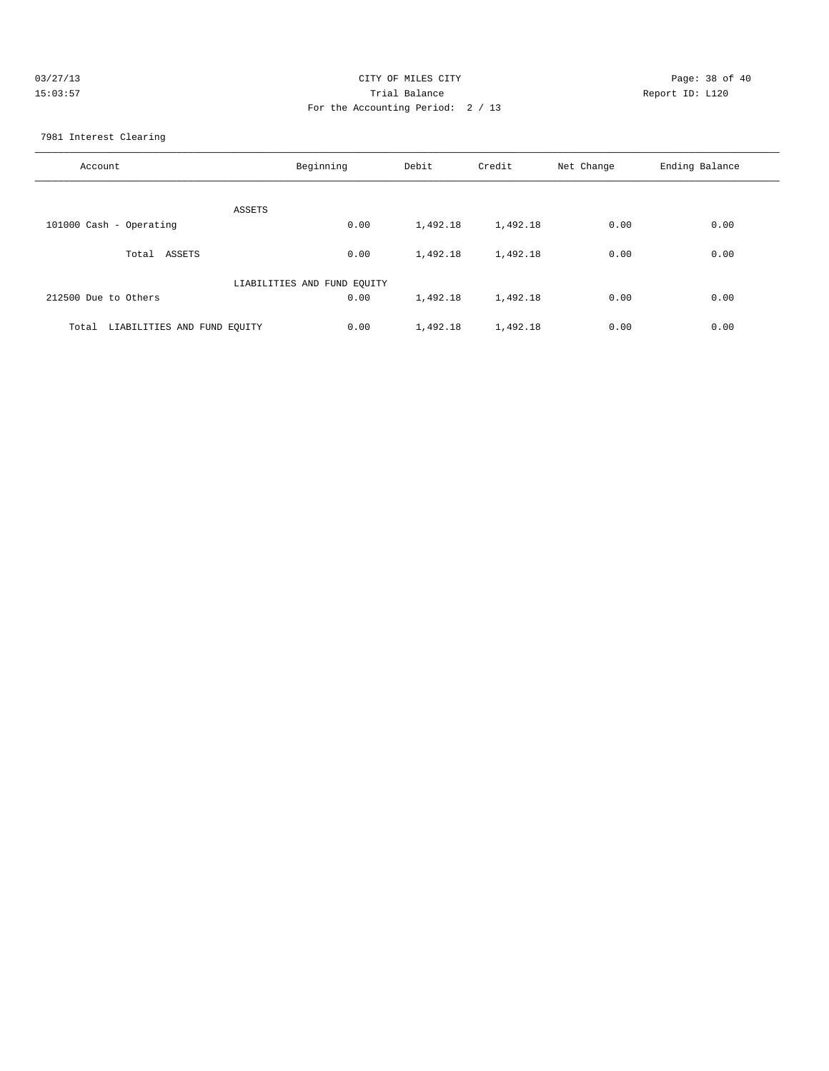| 03/27/13 | CITY OF MILES CITY                | Page: 38 of 40  |
|----------|-----------------------------------|-----------------|
| 15:03:57 | Trial Balance                     | Report ID: L120 |
|          | For the Accounting Period: 2 / 13 |                 |

7981 Interest Clearing

| Account                              | Beginning                   | Debit    | Credit   | Net Change | Ending Balance |
|--------------------------------------|-----------------------------|----------|----------|------------|----------------|
| ASSETS                               |                             |          |          |            |                |
| 101000 Cash - Operating              | 0.00                        | 1,492.18 | 1,492.18 | 0.00       | 0.00           |
| ASSETS<br>Total                      | 0.00                        | 1,492.18 | 1,492.18 | 0.00       | 0.00           |
|                                      | LIABILITIES AND FUND EQUITY |          |          |            |                |
| 212500 Due to Others                 | 0.00                        | 1,492.18 | 1,492.18 | 0.00       | 0.00           |
| LIABILITIES AND FUND EQUITY<br>Total | 0.00                        | 1,492.18 | 1,492.18 | 0.00       | 0.00           |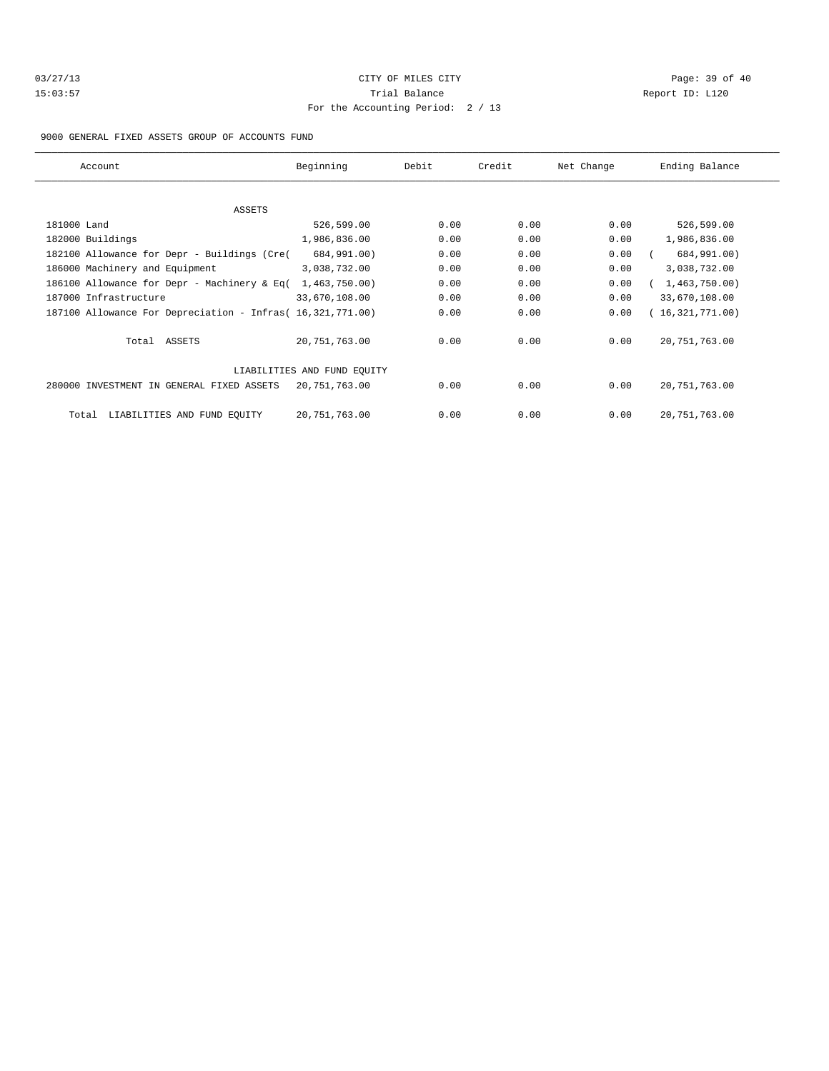| 03/27/13 |  |
|----------|--|
| 15:03:57 |  |

# CITY OF MILES CITY CONTROL CONTROL CONTROL CONTROL CONTROL PAGE: 39 of 40 15:03:57 Trial Balance Communications of the Report ID: L120 For the Accounting Period: 2 / 13

9000 GENERAL FIXED ASSETS GROUP OF ACCOUNTS FUND

| Account                                                    | Beginning     | Debit | Credit | Net Change | Ending Balance  |
|------------------------------------------------------------|---------------|-------|--------|------------|-----------------|
|                                                            |               |       |        |            |                 |
| ASSETS                                                     |               |       |        |            |                 |
| 181000 Land                                                | 526,599.00    | 0.00  | 0.00   | 0.00       | 526,599.00      |
| 182000 Buildings                                           | 1,986,836.00  | 0.00  | 0.00   | 0.00       | 1,986,836.00    |
| 182100 Allowance for Depr - Buildings (Cre(                | 684,991.00)   | 0.00  | 0.00   | 0.00       | 684,991.00)     |
| 186000 Machinery and Equipment                             | 3,038,732.00  | 0.00  | 0.00   | 0.00       | 3,038,732.00    |
| 186100 Allowance for Depr - Machinery & Eq(                | 1,463,750.00) | 0.00  | 0.00   | 0.00       | 1,463,750.00    |
| 187000 Infrastructure                                      | 33,670,108.00 | 0.00  | 0.00   | 0.00       | 33,670,108.00   |
| 187100 Allowance For Depreciation - Infras( 16,321,771.00) |               | 0.00  | 0.00   | 0.00       | 16,321,771.00   |
| Total ASSETS                                               | 20,751,763.00 | 0.00  | 0.00   | 0.00       | 20, 751, 763.00 |
| LIABILITIES AND FUND EOUITY                                |               |       |        |            |                 |
| 280000 INVESTMENT IN GENERAL FIXED ASSETS                  | 20,751,763.00 | 0.00  | 0.00   | 0.00       | 20, 751, 763.00 |
| LIABILITIES AND FUND EQUITY<br>Total                       | 20,751,763.00 | 0.00  | 0.00   | 0.00       | 20, 751, 763.00 |